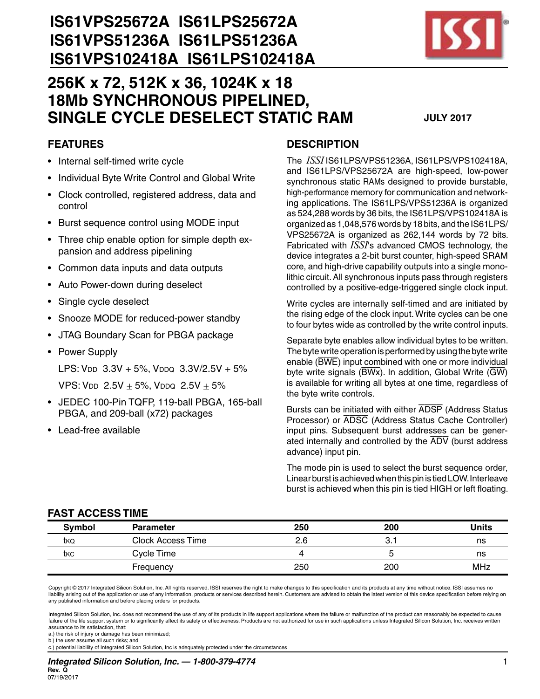# **IS61vPS25672A IS61lPS25672A IS61vPS51236A IS61lPS51236A IS61vPS102418A IS61lPS102418A**

# **256K x 72, 512K x 36, 1024K x 18 18Mb SYNCHRONOUS PIPELINED, Single CYCLE DESELECT STATIC RAM JULY 2017**

# **FEATURES**

- Internal self-timed write cycle
- Individual Byte Write Control and Global Write
- Clock controlled, registered address, data and control
- Burst sequence control using MODE input
- Three chip enable option for simple depth expansion and address pipelining
- • Common data inputs and data outputs
- Auto Power-down during deselect
- Single cycle deselect
- Snooze MODE for reduced-power standby
- • JTAG Boundary Scan for PBGA package
- Power Supply

LPS: VDD  $3.3V + 5%$ , VDDQ  $3.3V/2.5V + 5%$ VPS: VDD  $2.5V + 5%$ , VDDQ  $2.5V + 5%$ 

- • JEDEC 100-Pin TQFP, 119-ball PBGA, 165-ball PBGA, and 209-ball (x72) packages
- • Lead-free available

# **DESCRIPTION**

The *ISSI* IS61LPS/VPS51236A, IS61LPS/VPS102418A, and IS61LPS/VPS25672A are high-speed, low-power synchronous static RAMs designed to provide burstable, high-performance memory for communication and networking applications. The IS61LPS/VPS51236A is organized as 524,288 words by 36 bits, the IS61LPS/VPS102418A is organized as 1,048,576words by 18 bits, and the IS61LPS/ VPS25672A is organized as 262,144 words by 72 bits. Fabricated with *ISSI*'s advanced CMOS technology, the device integrates a 2-bit burst counter, high-speed SRAM core, and high-drive capability outputs into a single monolithic circuit. All synchronous inputs pass through registers controlled by a positive-edge-triggered single clock input.

Write cycles are internally self-timed and are initiated by the rising edge of the clock input.Write cycles can be one to four bytes wide as controlled by the write control inputs.

Separate byte enables allow individual bytes to be written. The byte write operation is performed by using the byte write enable (BWE) input combined with one or more individual byte write signals ( $\overline{BWx}$ ). In addition, Global Write ( $\overline{GW}$ ) is available for writing all bytes at one time, regardless of the byte write controls.

Bursts can be initiated with either ADSP (Address Status Processor) or ADSC (Address Status Cache Controller) input pins. Subsequent burst addresses can be generated internally and controlled by the ADV (burst address advance) input pin.

The mode pin is used to select the burst sequence order, Linearburstisachievedwhenthispinis tiedLOW.Interleave burst is achieved when this pin is tied HIGH or left floating.

#### **FAST ACCESS TIME**

| <b>Symbol</b> | <b>Parameter</b>  | 250 | 200 | <b>Units</b> |  |  |  |  |
|---------------|-------------------|-----|-----|--------------|--|--|--|--|
| tkQ           | Clock Access Time | 2.6 |     | ns           |  |  |  |  |
| tkc           | Cycle Time        |     |     | ns           |  |  |  |  |
|               | Frequency         | 250 | 200 | MHz          |  |  |  |  |

Copyright © 2017 Integrated Silicon Solution, Inc. All rights reserved. ISSI reserves the right to make changes to this specification and its products at any time without notice. ISSI assumes no liability arising out of the application or use of any information, products or services described herein. Customers are advised to obtain the latest version of this device specification before relying on any published information and before placing orders for products.

Integrated Silicon Solution, Inc. does not recommend the use of any of its products in life support applications where the failure or malfunction of the product can reasonably be expected to cause failure of the life support system or to significantly affect its safety or effectiveness. Products are not authorized for use in such applications unless Integrated Silicon Solution, Inc. receives written assurance to its satisfaction, that:

a.) the risk of injury or damage has been minimized; b.) the user assume all such risks; and

c.) potential liability of Integrated Silicon Solution, Inc is adequately protected under the circumstances

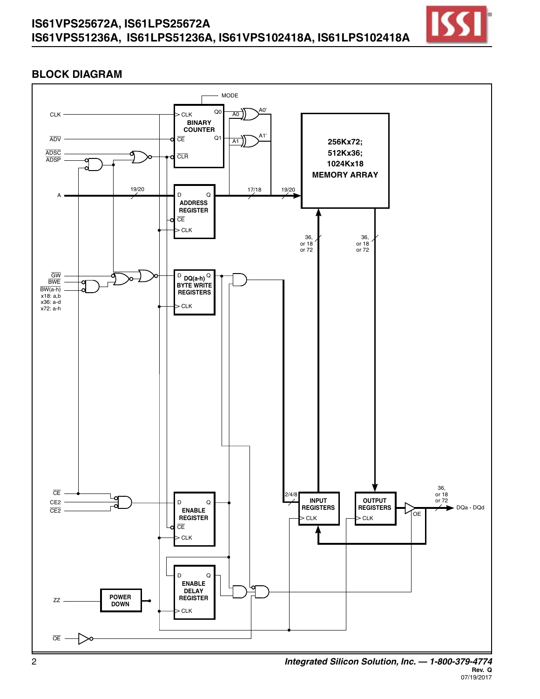

# **BLOCK DIAGRAM**

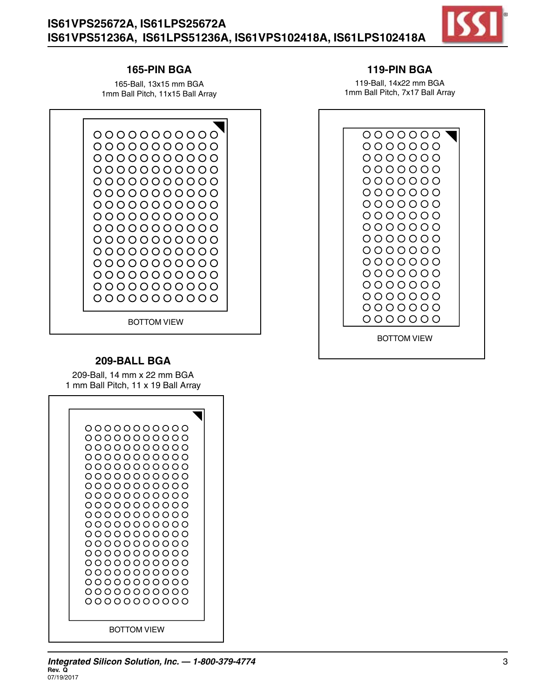# **IS61VPS25672A, IS61LPS25672A IS61VPS51236A, IS61LPS51236A, IS61VPS102418A, IS61LPS102418A**



#### **165-pin BGA**

165-Ball, 13x15 mm BGA 1mm Ball Pitch, 11x15 Ball Array



# **209-Ball BGA**

209-Ball, 14 mm x 22 mm BGA 1 mm Ball Pitch, 11 x 19 Ball Array



#### **119-pin BGA**

119-Ball, 14x22 mm BGA 1mm Ball Pitch, 7x17 Ball Array

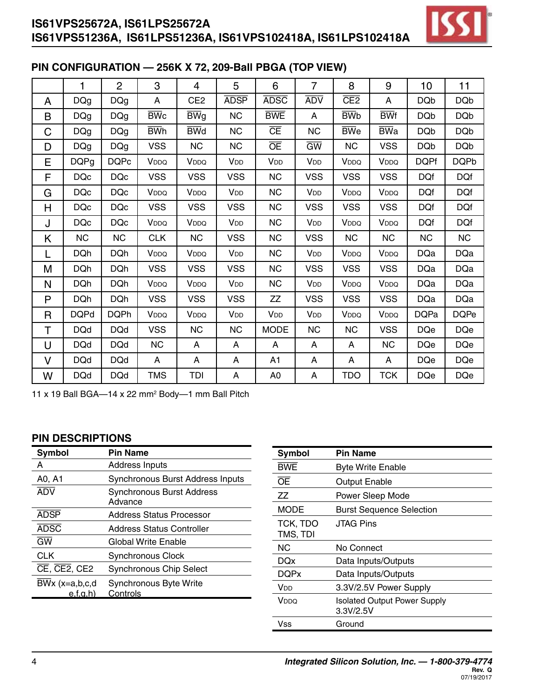

# **Pin Configuration — 256K x 72, 209-Ball PBGA (Top View)**

|              | 1           | $\overline{2}$ | 3                        | $\overline{4}$                                         | 5                      | 6                      | $\overline{7}$         | 8                        | 9                | 10          | 11          |
|--------------|-------------|----------------|--------------------------|--------------------------------------------------------|------------------------|------------------------|------------------------|--------------------------|------------------|-------------|-------------|
| A            | <b>DQg</b>  | <b>DQg</b>     | A                        | CE <sub>2</sub>                                        | <b>ADSP</b>            | <b>ADSC</b>            | <b>ADV</b>             | CE2                      | A                | <b>DQb</b>  | <b>DQb</b>  |
| B            | <b>DQg</b>  | <b>DQg</b>     | $\overline{\text{BW}}$ c | $\overline{\text{BW}}$ g                               | <b>NC</b>              | <b>BWE</b>             | A                      | <b>BWb</b>               | <b>BWf</b>       | <b>DQb</b>  | <b>DQb</b>  |
| C            | <b>DQg</b>  | <b>DQg</b>     | <b>BWh</b>               | $\overline{\mathsf{B}}\overline{\mathsf{W}}\mathsf{d}$ | <b>NC</b>              | $\overline{\text{CE}}$ | <b>NC</b>              | $\overline{\text{BW}}$ e | <b>BWa</b>       | <b>DQb</b>  | <b>DQb</b>  |
| D            | <b>DQg</b>  | <b>DQg</b>     | <b>VSS</b>               | NC                                                     | <b>NC</b>              | <b>OE</b>              | GW                     | <b>NC</b>                | <b>VSS</b>       | <b>DQb</b>  | <b>DQb</b>  |
| E            | <b>DQPg</b> | <b>DQPc</b>    | V <sub>DDQ</sub>         | V <sub>DDQ</sub>                                       | <b>V<sub>DD</sub></b>  | <b>V<sub>DD</sub></b>  | <b>V<sub>DD</sub></b>  | V <sub>DDQ</sub>         | V <sub>DDQ</sub> | <b>DQPf</b> | <b>DQPb</b> |
| F            | <b>DQc</b>  | <b>DQc</b>     | <b>VSS</b>               | <b>VSS</b>                                             | <b>VSS</b>             | <b>NC</b>              | <b>VSS</b>             | <b>VSS</b>               | <b>VSS</b>       | <b>DQf</b>  | <b>DQf</b>  |
| G            | <b>DQc</b>  | <b>DQc</b>     | VDDQ                     | VDDQ                                                   | <b>V<sub>DD</sub></b>  | <b>NC</b>              | <b>V<sub>DD</sub></b>  | V <sub>DDQ</sub>         | VDDQ             | <b>DQf</b>  | <b>DQf</b>  |
| Н            | <b>DQc</b>  | <b>DQc</b>     | <b>VSS</b>               | <b>VSS</b>                                             | <b>VSS</b>             | <b>NC</b>              | <b>VSS</b>             | <b>VSS</b>               | <b>VSS</b>       | <b>DQf</b>  | <b>DQf</b>  |
| J            | <b>DQc</b>  | <b>DQc</b>     | V <sub>DDQ</sub>         | V <sub>DDQ</sub>                                       | <b>V</b> <sub>DD</sub> | <b>NC</b>              | V <sub>DD</sub>        | V <sub>DDQ</sub>         | V <sub>DDQ</sub> | <b>DQf</b>  | <b>DQf</b>  |
| K            | <b>NC</b>   | <b>NC</b>      | <b>CLK</b>               | <b>NC</b>                                              | <b>VSS</b>             | <b>NC</b>              | <b>VSS</b>             | <b>NC</b>                | <b>NC</b>        | NC          | NC          |
|              | <b>DQh</b>  | <b>DQh</b>     | VDDQ                     | VDDQ                                                   | <b>V<sub>DD</sub></b>  | <b>NC</b>              | <b>V<sub>DD</sub></b>  | VDDQ                     | V <sub>DDQ</sub> | <b>DQa</b>  | <b>DQa</b>  |
| M            | <b>DQh</b>  | <b>DQh</b>     | <b>VSS</b>               | <b>VSS</b>                                             | <b>VSS</b>             | <b>NC</b>              | <b>VSS</b>             | <b>VSS</b>               | <b>VSS</b>       | <b>DQa</b>  | <b>DQa</b>  |
| N            | <b>DQh</b>  | <b>DQh</b>     | V <sub>DDQ</sub>         | V <sub>DDQ</sub>                                       | V <sub>DD</sub>        | <b>NC</b>              | <b>V</b> <sub>DD</sub> | VDDQ                     | V <sub>DDQ</sub> | <b>DQa</b>  | <b>DQa</b>  |
| P            | <b>DQh</b>  | <b>DQh</b>     | <b>VSS</b>               | <b>VSS</b>                                             | <b>VSS</b>             | ZZ                     | <b>VSS</b>             | <b>VSS</b>               | <b>VSS</b>       | <b>DQa</b>  | <b>DQa</b>  |
| $\mathsf{R}$ | <b>DQPd</b> | <b>DQPh</b>    | <b>VDDQ</b>              | V <sub>DDQ</sub>                                       | V <sub>DD</sub>        | V <sub>DD</sub>        | V <sub>DD</sub>        | V <sub>DDQ</sub>         | VDDQ             | <b>DQPa</b> | <b>DQPe</b> |
| Τ            | <b>DQd</b>  | <b>DQd</b>     | <b>VSS</b>               | <b>NC</b>                                              | <b>NC</b>              | <b>MODE</b>            | <b>NC</b>              | <b>NC</b>                | <b>VSS</b>       | <b>DQe</b>  | <b>DQe</b>  |
| U            | <b>DQd</b>  | <b>DQd</b>     | NC                       | A                                                      | A                      | A                      | A                      | A                        | NC               | <b>DQe</b>  | <b>DQe</b>  |
| $\vee$       | <b>DQd</b>  | <b>DQd</b>     | A                        | A                                                      | A                      | A1                     | A                      | A                        | A                | <b>DQe</b>  | <b>DQe</b>  |
| W            | <b>DQd</b>  | <b>DQd</b>     | <b>TMS</b>               | TDI                                                    | A                      | A <sub>0</sub>         | A                      | <b>TDO</b>               | <b>TCK</b>       | <b>DQe</b>  | <b>DQe</b>  |

11 x 19 Ball BGA—14 x 22 mm<sup>2</sup> Body—1 mm Ball Pitch

| Symbol                                     | <b>Pin Name</b>                             |
|--------------------------------------------|---------------------------------------------|
| А                                          | <b>Address Inputs</b>                       |
| A0, A1                                     | <b>Synchronous Burst Address Inputs</b>     |
| ADV                                        | <b>Synchronous Burst Address</b><br>Advance |
| <b>ADSP</b>                                | Address Status Processor                    |
| <b>ADSC</b>                                | <b>Address Status Controller</b>            |
| <b>GW</b>                                  | Global Write Enable                         |
| CLK                                        | Synchronous Clock                           |
| $\overline{CE}$ , $\overline{CE2}$ , $CE2$ | <b>Synchronous Chip Select</b>              |
| BWx $(x=a,b,c,d)$<br>e.f.a.h               | Synchronous Byte Write<br>Controls          |
|                                            |                                             |

| Symbol          | <b>Pin Name</b>                     |
|-----------------|-------------------------------------|
| <b>BWE</b>      | <b>Byte Write Enable</b>            |
| <b>OE</b>       | <b>Output Enable</b>                |
| ΖZ              | Power Sleep Mode                    |
| <b>MODE</b>     | <b>Burst Sequence Selection</b>     |
| TCK, TDO        | <b>JTAG Pins</b>                    |
| TMS, TDI        |                                     |
| NС              | No Connect                          |
| DQx             | Data Inputs/Outputs                 |
| <b>DQPx</b>     | Data Inputs/Outputs                 |
| V <sub>DD</sub> | 3.3V/2.5V Power Supply              |
| Vnno            | <b>Isolated Output Power Supply</b> |
|                 | 3.3V/2.5V                           |
| Vss             | Ground                              |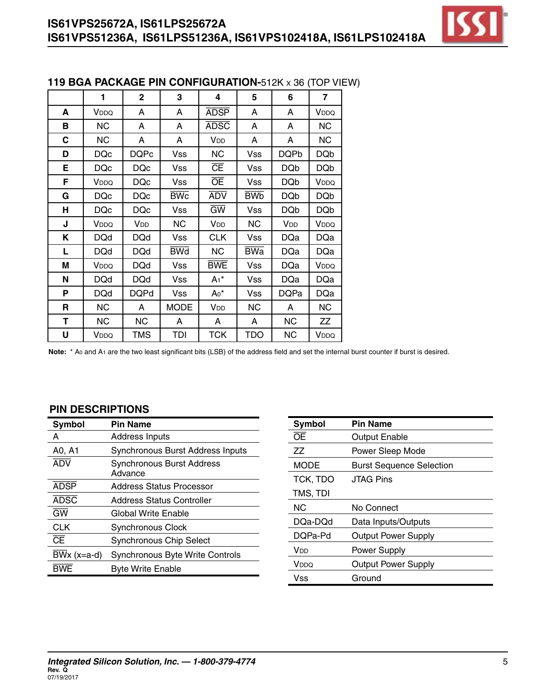|   | 1                | 2               | 3           | 4                      | 5                     | 6               | 7                |
|---|------------------|-----------------|-------------|------------------------|-----------------------|-----------------|------------------|
| A | V <sub>DDQ</sub> | A               | A           | <b>ADSP</b>            | A                     | A               | V <sub>DDQ</sub> |
| в | <b>NC</b>        | A               | A           | <b>ADSC</b>            | A                     | A               | <b>NC</b>        |
| C | <b>NC</b>        | A               | A           | V <sub>DD</sub>        | A                     | A               | <b>NC</b>        |
| D | <b>DQc</b>       | <b>DQPc</b>     | Vss         | <b>NC</b>              | Vss                   | <b>DQPb</b>     | <b>DQb</b>       |
| Е | <b>DQc</b>       | <b>DQc</b>      | Vss         | ႠĒ                     | Vss                   | <b>DQb</b>      | <b>DQb</b>       |
| F | V <sub>DDQ</sub> | <b>DQc</b>      | Vss         | ŌĒ                     | <b>Vss</b>            | <b>DQb</b>      | V <sub>DDQ</sub> |
| G | <b>DQc</b>       | <b>DQc</b>      | <b>BWc</b>  | <b>ADV</b>             | <b>BW<sub>b</sub></b> | <b>DQb</b>      | <b>DQb</b>       |
| н | <b>DQc</b>       | <b>DQc</b>      | Vss         | $\overline{GW}$        | <b>Vss</b>            | <b>DQb</b>      | <b>DQb</b>       |
| J | V <sub>DDQ</sub> | V <sub>DD</sub> | NС          | <b>V</b> <sub>DD</sub> | NС                    | V <sub>DD</sub> | V <sub>DDQ</sub> |
| Κ | <b>DQd</b>       | <b>DQd</b>      | Vss         | <b>CLK</b>             | <b>Vss</b>            | <b>DQa</b>      | <b>DQa</b>       |
| L | <b>DQd</b>       | <b>DQd</b>      | <b>BWd</b>  | <b>NC</b>              | <b>BWa</b>            | <b>DQa</b>      | <b>DQa</b>       |
| M | V <sub>DDQ</sub> | <b>DQd</b>      | Vss         | <b>BWE</b>             | <b>Vss</b>            | <b>DQa</b>      | V <sub>DDQ</sub> |
| N | <b>DQd</b>       | <b>DQd</b>      | Vss         | $A_1$ *                | Vss                   | <b>DQa</b>      | DQa              |
| P | <b>DQd</b>       | <b>DQPd</b>     | Vss         | $A_0^*$                | Vss                   | DQPa            | <b>DQa</b>       |
| R | <b>NC</b>        | A               | <b>MODE</b> | V <sub>DD</sub>        | <b>NC</b>             | A               | <b>NC</b>        |
| т | NC               | <b>NC</b>       | A           | A                      | A                     | <b>NC</b>       | ZZ               |
| U | V <sub>DDQ</sub> | TMS             | TDI         | TCK                    | TDO                   | <b>NC</b>       | V <sub>DDQ</sub> |

#### **119 BGA PACKAGE PIN CONFIGURATION-**512K x 36 (TOP VIEW)

**Note:** \* A0 and A1 are the two least significant bits (LSB) of the address field and set the internal burst counter if burst is desired.

# **PIN DESCRIPTIONS**

| Symbol        | <b>Pin Name</b>                             |
|---------------|---------------------------------------------|
| А             | <b>Address Inputs</b>                       |
| A0, A1        | Synchronous Burst Address Inputs            |
| ADV           | <b>Synchronous Burst Address</b><br>Advance |
| <b>ADSP</b>   | Address Status Processor                    |
| <b>ADSC</b>   | Address Status Controller                   |
| GW            | Global Write Enable                         |
| <b>CLK</b>    | Synchronous Clock                           |
| Œ             | <b>Synchronous Chip Select</b>              |
| $BWx (x=a-d)$ | <b>Synchronous Byte Write Controls</b>      |
| <b>RWF</b>    | <b>Byte Write Enable</b>                    |

| Symbol   | <b>Pin Name</b>                 |
|----------|---------------------------------|
| ŌĒ       | <b>Output Enable</b>            |
| ZZ       | Power Sleep Mode                |
| MODE     | <b>Burst Sequence Selection</b> |
| TCK, TDO | JTAG Pins                       |
| TMS, TDI |                                 |
| NС       | No Connect                      |
| DQa-DQd  | Data Inputs/Outputs             |
| DQPa-Pd  | <b>Output Power Supply</b>      |
| VDD      | Power Supply                    |
| VDDQ     | <b>Output Power Supply</b>      |
| Vss      | Ground                          |

**ISSI**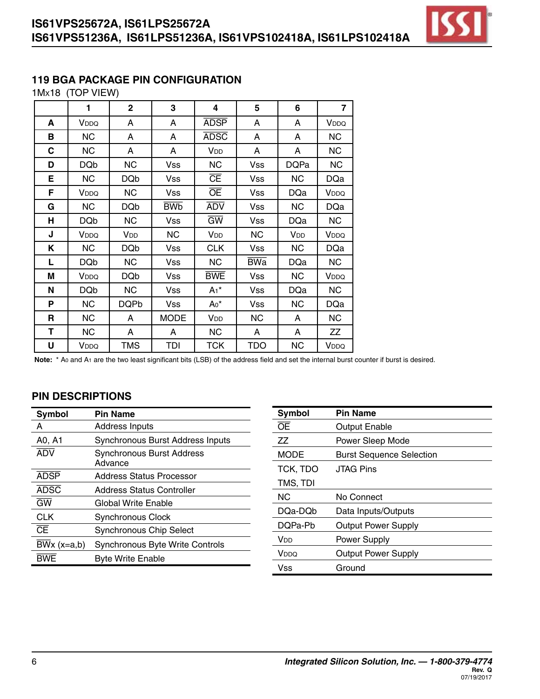# **119 BGA PACKAGE PIN CONFIGURATION**

1Mx18 (TOP VIEW)

|   | 1                | $\mathbf{2}$    | 3                     | 4                      | 5          | 6                     | $\overline{7}$   |
|---|------------------|-----------------|-----------------------|------------------------|------------|-----------------------|------------------|
| A | V <sub>DDQ</sub> | A               | A                     | <b>ADSP</b>            | A          | A                     | V <sub>DDQ</sub> |
| В | <b>NC</b>        | A               | A                     | <b>ADSC</b>            | A          | A                     | <b>NC</b>        |
| С | <b>NC</b>        | А               | A                     | <b>V<sub>DD</sub></b>  | A          | A                     | <b>NC</b>        |
| D | <b>DQb</b>       | <b>NC</b>       | Vss                   | <b>NC</b>              | <b>Vss</b> | <b>DQPa</b>           | <b>NC</b>        |
| Е | <b>NC</b>        | <b>DQb</b>      | Vss                   | <b>CE</b>              | <b>Vss</b> | <b>NC</b>             | <b>DQa</b>       |
| F | V <sub>DDQ</sub> | <b>NC</b>       | Vss                   | <b>OE</b>              | <b>Vss</b> | <b>DQa</b>            | V <sub>DDQ</sub> |
| G | <b>NC</b>        | <b>DQb</b>      | <b>BW<sub>b</sub></b> | <b>ADV</b>             | <b>Vss</b> | <b>NC</b>             | <b>DQa</b>       |
| Н | <b>DQb</b>       | <b>NC</b>       | Vss                   | $\overline{GW}$        | <b>Vss</b> | <b>DQa</b>            | <b>NC</b>        |
| J | V <sub>DDQ</sub> | V <sub>DD</sub> | <b>NC</b>             | <b>V</b> <sub>DD</sub> | <b>NC</b>  | <b>V<sub>DD</sub></b> | V <sub>DDQ</sub> |
| Κ | <b>NC</b>        | <b>DQb</b>      | Vss                   | <b>CLK</b>             | <b>Vss</b> | <b>NC</b>             | <b>DQa</b>       |
| L | <b>DQb</b>       | <b>NC</b>       | Vss                   | <b>NC</b>              | <b>BWa</b> | <b>DQa</b>            | <b>NC</b>        |
| M | V <sub>DDQ</sub> | <b>DQb</b>      | Vss                   | <b>BWE</b>             | <b>Vss</b> | <b>NC</b>             | V <sub>DDQ</sub> |
| N | <b>DQb</b>       | <b>NC</b>       | Vss                   | $A_1$ *                | <b>Vss</b> | <b>DQa</b>            | <b>NC</b>        |
| P | <b>NC</b>        | <b>DQPb</b>     | Vss                   | $A_0^*$                | <b>Vss</b> | <b>NC</b>             | <b>DQa</b>       |
| R | <b>NC</b>        | A               | <b>MODE</b>           | V <sub>DD</sub>        | <b>NC</b>  | A                     | <b>NC</b>        |
| т | <b>NC</b>        | A               | A                     | <b>NC</b>              | A          | A                     | ΖZ               |
| U | V <sub>DDQ</sub> | <b>TMS</b>      | TDI                   | <b>TCK</b>             | TDO        | <b>NC</b>             | V <sub>DDQ</sub> |

**Note:** \* A0 and A1 are the two least significant bits (LSB) of the address field and set the internal burst counter if burst is desired.

| Symbol                   | <b>Pin Name</b>                         |
|--------------------------|-----------------------------------------|
| А                        | <b>Address Inputs</b>                   |
| A0, A1                   | <b>Synchronous Burst Address Inputs</b> |
| <b>ADV</b>               | Synchronous Burst Address<br>Advance    |
| <b>ADSP</b>              | Address Status Processor                |
| <b>ADSC</b>              | <b>Address Status Controller</b>        |
| <b>GW</b>                | Global Write Enable                     |
| <b>CLK</b>               | <b>Synchronous Clock</b>                |
| $\overline{\text{CE}}$   | <b>Synchronous Chip Select</b>          |
| $\overline{BW}x$ (x=a,b) | <b>Synchronous Byte Write Controls</b>  |
| <b>RWF</b>               | <b>Byte Write Enable</b>                |

| Symbol           | <b>Pin Name</b>                 |
|------------------|---------------------------------|
| ŌE               | Output Enable                   |
| ZZ               | Power Sleep Mode                |
| <b>MODE</b>      | <b>Burst Sequence Selection</b> |
| TCK, TDO         | JTAG Pins                       |
| TMS, TDI         |                                 |
| NС               | No Connect                      |
| DQa-DQb          | Data Inputs/Outputs             |
| DQPa-Pb          | <b>Output Power Supply</b>      |
| Vdd              | Power Supply                    |
| V <sub>DDQ</sub> | <b>Output Power Supply</b>      |
| Vss              | Ground                          |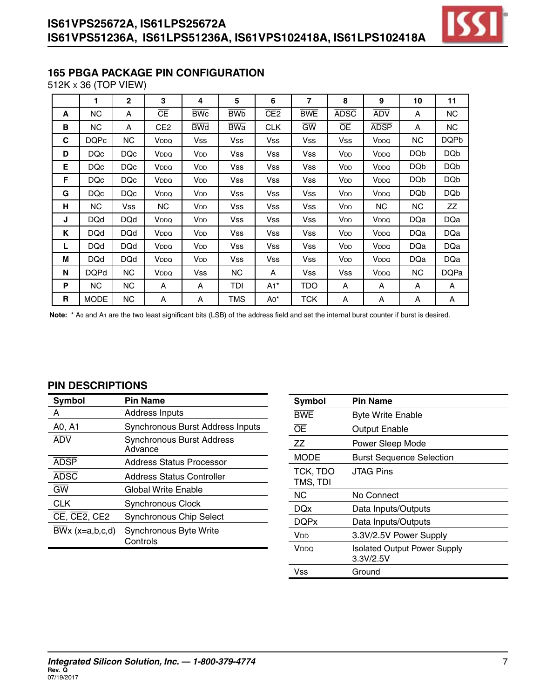

### **165 PBGA PACKAGE PIN CONFIGURATION**

512K x 36 (TOP VIEW)

|   | 1           | $\mathbf{2}$ | 3                | 4                      | 5          | 6          | $\overline{7}$ | 8                     | 9                | 10         | 11          |
|---|-------------|--------------|------------------|------------------------|------------|------------|----------------|-----------------------|------------------|------------|-------------|
| A | NC.         | A            | <b>CE</b>        | <b>BWc</b>             | <b>BWb</b> | CE2        | <b>BWE</b>     | <b>ADSC</b>           | ADV              | A          | <b>NC</b>   |
| в | <b>NC</b>   | A            | CE <sub>2</sub>  | <b>BWd</b>             | BWa        | <b>CLK</b> | GW             | <b>OE</b>             | <b>ADSP</b>      | Α          | NC.         |
| C | <b>DQPc</b> | <b>NC</b>    | V <sub>DDQ</sub> | Vss                    | Vss        | Vss        | <b>Vss</b>     | Vss                   | V <sub>DDQ</sub> | NC         | <b>DQPb</b> |
| D | <b>DQc</b>  | <b>DQc</b>   | V <sub>DDQ</sub> | V <sub>DD</sub>        | Vss        | Vss        | Vss            | V <sub>DD</sub>       | V <sub>DDQ</sub> | <b>DQb</b> | <b>DQb</b>  |
| Е | <b>DQc</b>  | DQc          | Vddq             | Vdd                    | Vss        | Vss        | Vss            | V <sub>DD</sub>       | V <sub>DDQ</sub> | <b>DQb</b> | <b>DQb</b>  |
| F | <b>DQc</b>  | <b>DQc</b>   | Vddq             | Vdd                    | Vss        | Vss        | Vss            | V <sub>DD</sub>       | V <sub>DDQ</sub> | <b>DQb</b> | <b>DQb</b>  |
| G | <b>DQc</b>  | <b>DQc</b>   | V <sub>DDQ</sub> | V <sub>DD</sub>        | Vss        | Vss        | <b>Vss</b>     | V <sub>DD</sub>       | V <sub>DDQ</sub> | <b>DQb</b> | <b>DQb</b>  |
| н | NC.         | Vss          | NC.              | <b>V</b> <sub>DD</sub> | Vss        | Vss        | <b>Vss</b>     | <b>V<sub>DD</sub></b> | NC.              | NC         | ZZ          |
| J | <b>DQd</b>  | <b>DQd</b>   | Vddq             | Vdd                    | Vss        | Vss        | <b>Vss</b>     | <b>V<sub>DD</sub></b> | V <sub>DDQ</sub> | <b>DQa</b> | <b>DQa</b>  |
| Κ | <b>DQd</b>  | <b>DQd</b>   | V <sub>DDQ</sub> | VDD                    | Vss        | Vss        | <b>Vss</b>     | <b>V<sub>DD</sub></b> | V <sub>DDQ</sub> | <b>DQa</b> | <b>DQa</b>  |
| L | <b>DQd</b>  | <b>DQd</b>   | Vddq             | Vdd                    | Vss        | Vss        | <b>Vss</b>     | <b>V<sub>DD</sub></b> | V <sub>DDQ</sub> | <b>DQa</b> | <b>DQa</b>  |
| M | <b>DQd</b>  | <b>DQd</b>   | V <sub>DDQ</sub> | Vdd                    | Vss        | Vss        | <b>Vss</b>     | <b>V<sub>DD</sub></b> | V <sub>DDQ</sub> | <b>DQa</b> | <b>DQa</b>  |
| N | <b>DQPd</b> | <b>NC</b>    | V <sub>DDQ</sub> | Vss                    | NC.        | A          | Vss            | Vss                   | V <sub>DDQ</sub> | NC         | <b>DQPa</b> |
| P | NC.         | NC           | A                | A                      | TDI        | $A1^*$     | TDO            | A                     | A                | Α          | A           |
| R | <b>MODE</b> | NC.          | Α                | Α                      | TMS        | $A0^*$     | <b>TCK</b>     | Α                     | А                | Α          | Α           |

Note: \* Ao and A<sub>1</sub> are the two least significant bits (LSB) of the address field and set the internal burst counter if burst is desired.

| Symbol                                     | <b>Pin Name</b>                             |
|--------------------------------------------|---------------------------------------------|
| А                                          | <b>Address Inputs</b>                       |
| A0, A1                                     | <b>Synchronous Burst Address Inputs</b>     |
| <b>ADV</b>                                 | <b>Synchronous Burst Address</b><br>Advance |
| <b>ADSP</b>                                | Address Status Processor                    |
| <b>ADSC</b>                                | Address Status Controller                   |
| <b>GW</b>                                  | <b>Global Write Enable</b>                  |
| <b>CLK</b>                                 | <b>Synchronous Clock</b>                    |
| $\overline{CE}$ , $\overline{CE2}$ , $CE2$ | <b>Synchronous Chip Select</b>              |
| $BWx (x=a,b,c,d)$                          | <b>Synchronous Byte Write</b><br>Controls   |

| <b>Symbol</b>        | <b>Pin Name</b>                                  |
|----------------------|--------------------------------------------------|
| <b>BWE</b>           | <b>Byte Write Enable</b>                         |
| <b>OE</b>            | <b>Output Enable</b>                             |
| ΖZ                   | Power Sleep Mode                                 |
| <b>MODE</b>          | <b>Burst Sequence Selection</b>                  |
| TCK, TDO<br>TMS, TDI | <b>JTAG Pins</b>                                 |
| ΝC                   | No Connect                                       |
| DQx                  | Data Inputs/Outputs                              |
| <b>DOPx</b>          | Data Inputs/Outputs                              |
| V <sub>DD</sub>      | 3.3V/2.5V Power Supply                           |
| VDDQ                 | <b>Isolated Output Power Supply</b><br>3.3V/2.5V |
| Vss                  | Ground                                           |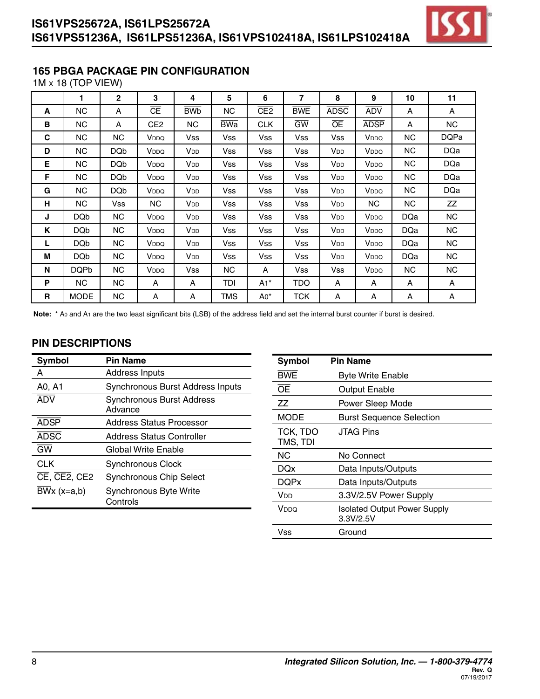

#### **165 PBGA PACKAGE PIN CONFIGURATION**

1M x 18 (TOP VIEW)

|    | 1               | $\mathbf{2}$    | 3                | 4                      | 5         | 6               | $\overline{7}$  | 8                     | 9                | 10         | 11          |
|----|-----------------|-----------------|------------------|------------------------|-----------|-----------------|-----------------|-----------------------|------------------|------------|-------------|
| A  | NC.             | Α               | CE               | <b>BW<sub>b</sub></b>  | <b>NC</b> | CE <sub>2</sub> | <b>BWE</b>      | <b>ADSC</b>           | <b>ADV</b>       | A          | Α           |
| B  | NC.             | A               | CE <sub>2</sub>  | <b>NC</b>              | BWa       | <b>CLK</b>      | $\overline{GW}$ | <b>OE</b>             | <b>ADSP</b>      | A          | NC          |
| C  | NC.             | <b>NC</b>       | V <sub>DDQ</sub> | Vss                    | Vss       | <b>Vss</b>      | <b>Vss</b>      | Vss                   | VDDQ             | <b>NC</b>  | <b>DQPa</b> |
| D  | NC.             | DQ <sub>b</sub> | V <sub>DDQ</sub> | V <sub>DD</sub>        | Vss       | Vss             | Vss             | V <sub>DD</sub>       | VDDQ             | NC.        | <b>DQa</b>  |
| Е  | NC.             | <b>DQb</b>      | V <sub>DDQ</sub> | <b>V<sub>DD</sub></b>  | Vss       | Vss             | Vss             | <b>V<sub>DD</sub></b> | V <sub>DDQ</sub> | <b>NC</b>  | <b>DQa</b>  |
| F  | NC.             | DQ <sub>b</sub> | V <sub>DDQ</sub> | V <sub>DD</sub>        | Vss       | Vss             | <b>Vss</b>      | V <sub>DD</sub>       | V <sub>DDQ</sub> | <b>NC</b>  | DQa         |
| G  | NC              | DQ <sub>b</sub> | V <sub>DDQ</sub> | V <sub>DD</sub>        | Vss       | Vss             | Vss             | V <sub>DD</sub>       | VDDQ             | <b>NC</b>  | <b>DQa</b>  |
| н  | <b>NC</b>       | <b>Vss</b>      | NC.              | V <sub>DD</sub>        | Vss       | Vss             | <b>Vss</b>      | <b>V<sub>DD</sub></b> | NC.              | NC.        | ZZ          |
| J  | DQ <sub>b</sub> | <b>NC</b>       | V <sub>DDQ</sub> | V <sub>DD</sub>        | Vss       | Vss             | <b>Vss</b>      | <b>V<sub>DD</sub></b> | V <sub>DDQ</sub> | DQa        | <b>NC</b>   |
| K  | DQ <sub>b</sub> | NC              | V <sub>DDQ</sub> | <b>V</b> <sub>DD</sub> | Vss       | Vss             | Vss             | V <sub>DD</sub>       | Vddq             | DQa        | <b>NC</b>   |
| L  | DQ <sub>b</sub> | <b>NC</b>       | V <sub>DDQ</sub> | <b>V<sub>DD</sub></b>  | Vss       | Vss             | <b>Vss</b>      | <b>V<sub>DD</sub></b> | V <sub>DDQ</sub> | <b>DQa</b> | NC          |
| M  | DQ <sub>b</sub> | NC.             | V <sub>DDQ</sub> | V <sub>DD</sub>        | Vss       | <b>Vss</b>      | Vss             | V <sub>DD</sub>       | V <sub>DDQ</sub> | DQa        | NC.         |
| N  | <b>DQPb</b>     | NC.             | V <sub>DDQ</sub> | Vss                    | NC        | A               | Vss             | Vss                   | V <sub>DDQ</sub> | NC.        | NC.         |
| P  | NC.             | <b>NC</b>       | A                | A                      | TDI       | $A1^*$          | <b>TDO</b>      | A                     | Α                | A          | A           |
| R. | MODE            | <b>NC</b>       | Α                | Α                      | TMS       | $A0^*$          | <b>TCK</b>      | A                     | A                | Α          | Α           |

**Note:** \* A0 and A1 are the two least significant bits (LSB) of the address field and set the internal burst counter if burst is desired.

| Symbol                                     | <b>Pin Name</b>                             |
|--------------------------------------------|---------------------------------------------|
| А                                          | <b>Address Inputs</b>                       |
| A0, A1                                     | Synchronous Burst Address Inputs            |
| <b>ADV</b>                                 | <b>Synchronous Burst Address</b><br>Advance |
| <b>ADSP</b>                                | Address Status Processor                    |
| <b>ADSC</b>                                | Address Status Controller                   |
| GW                                         | Global Write Enable                         |
| CLK                                        | Synchronous Clock                           |
| $\overline{CE}$ , $\overline{CE2}$ , $CE2$ | <b>Synchronous Chip Select</b>              |
| BWx $(x=a,b)$                              | <b>Synchronous Byte Write</b><br>Controls   |

| <b>Symbol</b>        | <b>Pin Name</b>                                  |
|----------------------|--------------------------------------------------|
| <b>BWE</b>           | <b>Byte Write Enable</b>                         |
| ŌĒ                   | <b>Output Enable</b>                             |
| ΖZ                   | Power Sleep Mode                                 |
| <b>MODE</b>          | <b>Burst Sequence Selection</b>                  |
| TCK, TDO<br>TMS, TDI | <b>JTAG Pins</b>                                 |
| NC.                  | No Connect                                       |
| DQx                  | Data Inputs/Outputs                              |
| <b>DOPx</b>          | Data Inputs/Outputs                              |
| Vnn                  | 3.3V/2.5V Power Supply                           |
| Vnno                 | <b>Isolated Output Power Supply</b><br>3.3V/2.5V |
| Vss                  | Ground                                           |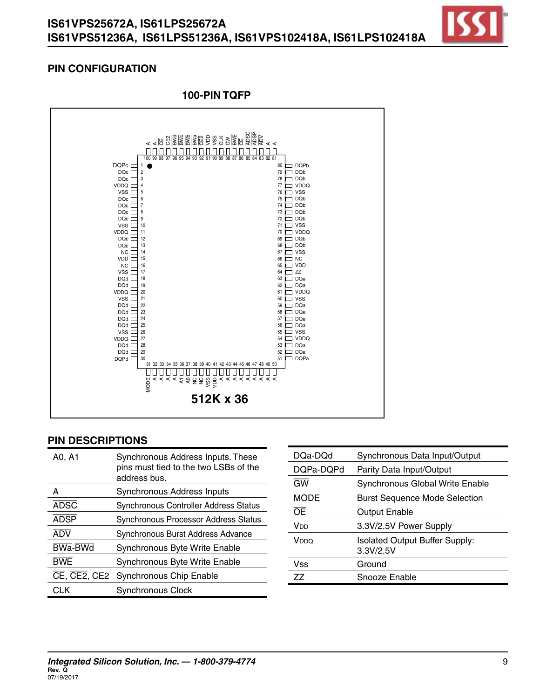

#### **PIN CONFIGURATION**





| A0, A1                                                | Synchronous Address Inputs. These<br>pins must tied to the two LSBs of the<br>address bus. |
|-------------------------------------------------------|--------------------------------------------------------------------------------------------|
| А                                                     | Synchronous Address Inputs                                                                 |
| <b>ADSC</b>                                           | Synchronous Controller Address Status                                                      |
| <b>ADSP</b>                                           | Synchronous Processor Address Status                                                       |
| <b>ADV</b>                                            | Synchronous Burst Address Advance                                                          |
| <b>BWa-BWd</b>                                        | Synchronous Byte Write Enable                                                              |
| <b>BWE</b>                                            | Synchronous Byte Write Enable                                                              |
| $\overline{\text{CE}}$ , $\overline{\text{CE}}$ , CE2 | Synchronous Chip Enable                                                                    |
| CLK                                                   | <b>Synchronous Clock</b>                                                                   |

| DQa-DQd                | Synchronous Data Input/Output               |
|------------------------|---------------------------------------------|
| DQPa-DQPd              | Parity Data Input/Output                    |
| <b>GW</b>              | <b>Synchronous Global Write Enable</b>      |
| <b>MODE</b>            | <b>Burst Sequence Mode Selection</b>        |
| <b>OE</b>              | <b>Output Enable</b>                        |
| <b>V</b> <sub>DD</sub> | 3.3V/2.5V Power Supply                      |
| Vnno                   | Isolated Output Buffer Supply:<br>3.3V/2.5V |
| Vss                    | Ground                                      |
| 77                     | Snooze Enable                               |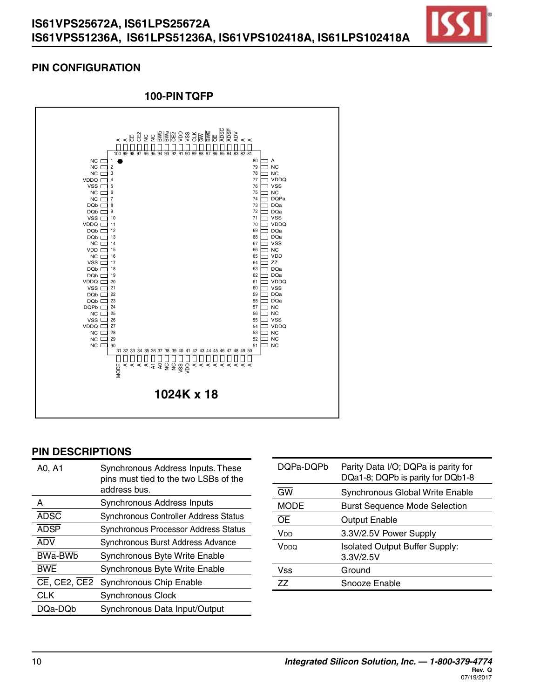

### **PIN CONFIGURATION**





| A0, A1            | Synchronous Address Inputs. These<br>pins must tied to the two LSBs of the<br>address bus. |
|-------------------|--------------------------------------------------------------------------------------------|
| A                 | Synchronous Address Inputs                                                                 |
| <b>ADSC</b>       | <b>Synchronous Controller Address Status</b>                                               |
| <b>ADSP</b>       | Synchronous Processor Address Status                                                       |
| <b>ADV</b>        | Synchronous Burst Address Advance                                                          |
| <b>BWa-BWb</b>    | Synchronous Byte Write Enable                                                              |
| <b>BWE</b>        | Synchronous Byte Write Enable                                                              |
| $CE$ , CE2, $CE2$ | Synchronous Chip Enable                                                                    |
| <b>CLK</b>        | <b>Synchronous Clock</b>                                                                   |
| DQa-DQb           | Synchronous Data Input/Output                                                              |

| DQPa-DQPb   | Parity Data I/O; DQPa is parity for<br>DQa1-8; DQPb is parity for DQb1-8 |
|-------------|--------------------------------------------------------------------------|
| <b>GW</b>   | Synchronous Global Write Enable                                          |
| <b>MODE</b> | <b>Burst Sequence Mode Selection</b>                                     |
| <b>OE</b>   | <b>Output Enable</b>                                                     |
| VDD         | 3.3V/2.5V Power Supply                                                   |
| Vnno        | <b>Isolated Output Buffer Supply:</b><br>3.3V/2.5V                       |
| Vss         | Ground                                                                   |
| 77          | Snooze Enable                                                            |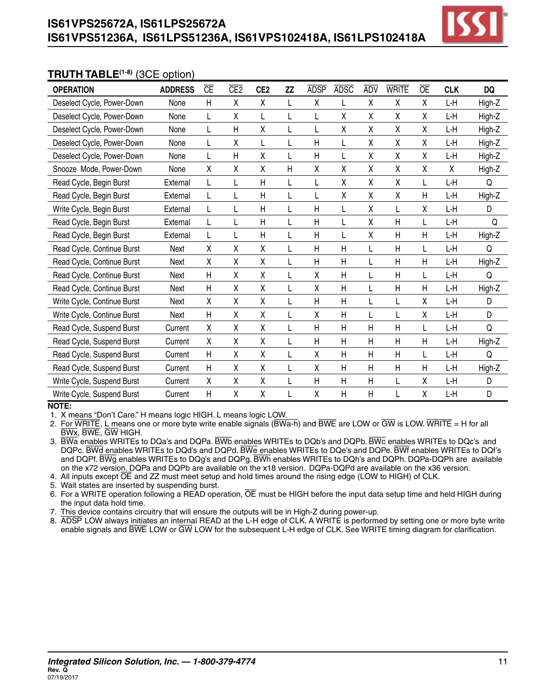

### **TRUTH TABLE(1-8)** (3CE option)

| <b>OPERATION</b>            | <b>ADDRESS</b> | CE | CE <sub>2</sub> | CE <sub>2</sub> | <b>ZZ</b> | <b>ADSP</b> | <b>ADSC</b> | <b>ADV</b>   | <b>WRITE</b> | ŌĒ | <b>CLK</b> | <b>DQ</b> |
|-----------------------------|----------------|----|-----------------|-----------------|-----------|-------------|-------------|--------------|--------------|----|------------|-----------|
| Deselect Cycle, Power-Down  | None           | Η  | χ               | χ               |           | χ           |             | χ            | χ            | χ  | ĿΗ         | High-Z    |
| Deselect Cycle, Power-Down  | None           | L  | χ               | L               |           | L           | χ           | χ            | X            | χ  | L-H        | High-Z    |
| Deselect Cycle, Power-Down  | None           | L  | Η               | Χ               |           |             | χ           | χ            | χ            | χ  | L-H        | High-Z    |
| Deselect Cycle, Power-Down  | None           | L  | Χ               | L               |           | Н           | L           | χ            | X            | x  | L-H        | High-Z    |
| Deselect Cycle, Power-Down  | None           | L  | H               | X               |           | Н           | L           | X            | X            | x  | L-H        | High-Z    |
| Snooze Mode, Power-Down     | None           | χ  | χ               | χ               | Н         | χ           | χ           | X            | X            | X  | Χ          | High-Z    |
| Read Cycle, Begin Burst     | External       | L  | L               | $\mathsf{H}$    |           | L           | χ           | χ            | χ            | L  | L-H        | Q         |
| Read Cycle, Begin Burst     | External       | L  | L               | Н               | L         |             | Χ           | χ            | χ            | Н  | L-H        | High-Z    |
| Write Cycle, Begin Burst    | External       | L  | L               | Η               |           | H           | Г           | χ            | L            | χ  | L-H        | D         |
| Read Cycle, Begin Burst     | External       | L  | L               | Η               |           | Н           |             | χ            | H            |    | L-H        | Q         |
| Read Cycle, Begin Burst     | External       | L  | L               | $\sf H$         |           | Η           | L           | χ            | Η            | Η  | L-H        | High-Z    |
| Read Cycle, Continue Burst  | Next           | χ  | χ               | χ               |           | Η           | Η           | L            | Н            |    | L-H        | Q         |
| Read Cycle, Continue Burst  | Next           | χ  | χ               | χ               |           | Η           | Η           | L            | Н            | Н  | ĿΗ         | High-Z    |
| Read Cycle, Continue Burst  | Next           | H  | χ               | χ               |           | χ           | Н           | L            | Н            |    | L-H        | Q         |
| Read Cycle, Continue Burst  | Next           | H  | χ               | χ               | L         | Χ           | Η           | L            | Н            | Н  | L-H        | High-Z    |
| Write Cycle, Continue Burst | Next           | χ  | χ               | χ               | L         | Η           | Η           | L            |              | χ  | L-H        | D         |
| Write Cycle, Continue Burst | Next           | H  | X               | X               | L         | χ           | Н           | L            |              | Χ  | L-H        | D         |
| Read Cycle, Suspend Burst   | Current        | X  | X               | X               |           | Н           | Η           | H            | Н            |    | L-H        | Q         |
| Read Cycle, Suspend Burst   | Current        | χ  | X               | X               | L         | Н           | Н           | $\mathsf{H}$ | Н            | н  | L-H        | High-Z    |
| Read Cycle, Suspend Burst   | Current        | H  | χ               | χ               |           | χ           | Η           | $\mathsf{H}$ | Η            |    | L-H        | Q         |
| Read Cycle, Suspend Burst   | Current        | Н  | Χ               | X               | L         | Χ           | Η           | H            | Н            | H  | L-H        | High-Z    |
| Write Cycle, Suspend Burst  | Current        | Χ  | χ               | Χ               |           | H           | Η           | $\mathsf{H}$ | L            | Χ  | L-H        | D         |
| Write Cycle, Suspend Burst  | Current        | H  | Χ               | χ               |           | X           | Η           | H            |              | Χ  | L-H        | D         |

**NOTE:** 

1. X means "Don't Care." H means logic HIGH. L means logic LOW.

2. For WRITE, L means one or more byte write enable signals ( $\overline{BWa}$ -h) and  $\overline{BWE}$  are LOW or  $\overline{GW}$  is LOW. WRITE = H for all BWx, BWE, GW HIGH.

3. BWa enables WRITEs to DQa's and DQPa. BWb enables WRITEs to DQb's and DQPb. BWc enables WRITEs to DQc's and DQPc. BWd enables WRITEs to DQd's and DQPd. BWe enables WRITEs to DQe's and DQPe. BWf enables WRITEs to DQf's and DQPf. BWg enables WRITEs to DQg's and DQPg. BWh enables WRITEs to DQh's and DQPh. DQPa-DQPh are available on the x72 version. DQPa and DQPb are available on the x18 version. DQPa-DQPd are available on the x36 version.

4. All inputs except  $\overline{OE}$  and ZZ must meet setup and hold times around the rising edge (LOW to HIGH) of CLK.

5. Wait states are inserted by suspending burst.

6. For a WRITE operation following a READ operation,  $\overline{OE}$  must be HIGH before the input data setup time and held HIGH during the input data hold time.

7. This device contains circuitry that will ensure the outputs will be in High-Z during power-up.

8. ADSP LOW always initiates an internal READ at the L-H edge of CLK. A WRITE is performed by setting one or more byte write enable signals and **BWE LOW** or GW LOW for the subsequent L-H edge of CLK. See WRITE timing diagram for clarification.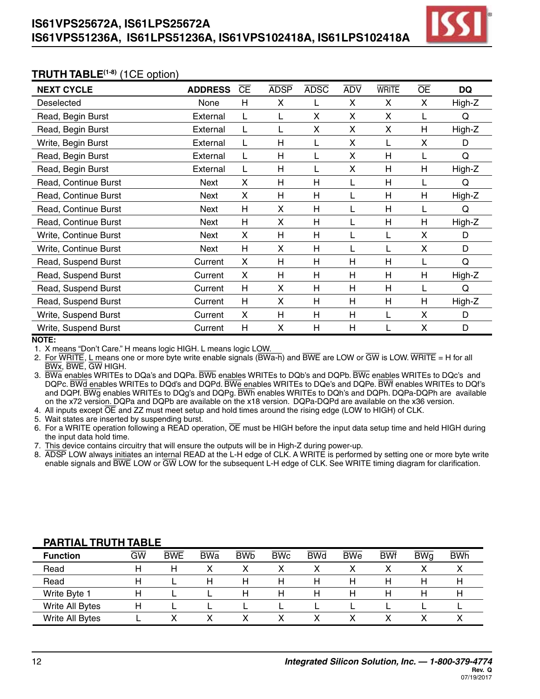

# **TRUTH TABLE(1-8)** (1CE option)

| <b>NEXT CYCLE</b>     | <b>ADDRESS</b>  | <b>CE</b> | <b>ADSP</b> | <b>ADSC</b> | <b>ADV</b> | <b>WRITE</b> | ŌĒ | <b>DQ</b> |
|-----------------------|-----------------|-----------|-------------|-------------|------------|--------------|----|-----------|
| Deselected            | None            | Н         | X           |             | Χ          | X            | X  | High-Z    |
| Read, Begin Burst     | External        | L         | L           | Χ           | X          | X            |    | Q         |
| Read, Begin Burst     | External        | L         |             | X           | X          | X            | H  | High-Z    |
| Write, Begin Burst    | <b>External</b> | L         | Н           | L           | X          | L            | X  | D         |
| Read, Begin Burst     | <b>External</b> | L         | H           |             | Χ          | H            |    | Q         |
| Read, Begin Burst     | External        | L         | H           | L           | x          | Н            | Н  | High-Z    |
| Read, Continue Burst  | Next            | X         | H           | н           |            | Н            |    | Q         |
| Read, Continue Burst  | Next            | X         | Н           | H           |            | Н            | H  | High-Z    |
| Read, Continue Burst  | Next            | Н         | X           | н           |            | H            |    | Q         |
| Read, Continue Burst  | Next            | Н         | X           | H           |            | H            | H  | High-Z    |
| Write, Continue Burst | Next            | X         | H           | H           |            | L            | X  | D         |
| Write, Continue Burst | <b>Next</b>     | H         | X           | H           |            |              | X  | D         |
| Read, Suspend Burst   | Current         | X         | H           | н           | н          | Н            |    | Q         |
| Read, Suspend Burst   | Current         | X         | H           | н           | Н          | н            | H  | High-Z    |
| Read, Suspend Burst   | Current         | Н         | X           | н           | н          | Н            |    | Q         |
| Read, Suspend Burst   | Current         | Н         | X           | H           | Н          | Н            | H  | High-Z    |
| Write, Suspend Burst  | Current         | X         | Н           | H           | Н          |              | X  | D         |
| Write, Suspend Burst  | Current         | Н         | X           | H           | H          |              | X  | D         |

#### **NOTE:**

1. X means "Don't Care." H means logic HIGH. L means logic LOW.

- 2. For WRITE, L means one or more byte write enable signals ( $\overline{BWa-h}$ ) and  $\overline{BWE}$  are LOW or  $\overline{GW}$  is LOW. WRITE = H for all BWx, BWE, GW HIGH.
- 3. BWa enables WRITEs to DQa's and DQPa. BWb enables WRITEs to DQb's and DQPb. BWc enables WRITEs to DQc's and DQPc. BWd enables WRITEs to DQd's and DQPd. BWe enables WRITEs to DQe's and DQPe. BWf enables WRITEs to DQf's and DQPf. BWg enables WRITEs to DQg's and DQPg. BWh enables WRITEs to DQh's and DQPh. DQPa-DQPh are available on the x72 version. DQPa and DQPb are available on the x18 version. DQPa-DQPd are available on the x36 version.

4. All inputs except  $\overline{OE}$  and ZZ must meet setup and hold times around the rising edge (LOW to HIGH) of CLK.

5. Wait states are inserted by suspending burst.

- 6. For a WRITE operation following a READ operation,  $\overline{OE}$  must be HIGH before the input data setup time and held HIGH during the input data hold time.
- 7. This device contains circuitry that will ensure the outputs will be in High-Z during power-up.
- 8. ADSP LOW always initiates an internal READ at the L-H edge of CLK. A WRITE is performed by setting one or more byte write enable signals and **BWE LOW** or GW LOW for the subsequent L-H edge of CLK. See WRITE timing diagram for clarification.

#### **PARTIAL TRUTH TABLE**

| <b>Function</b> | GW | <b>BWE</b> | <b>BWa</b> | <b>BWb</b> | <b>BWc</b> | <b>BWd</b> | <b>BWe</b> | <b>BWf</b> | <b>BWg</b> | <b>BWh</b> |
|-----------------|----|------------|------------|------------|------------|------------|------------|------------|------------|------------|
| Read            | н  | н          |            |            |            |            |            |            |            |            |
| Read            |    |            | H          | н          | H          | н          | н          |            |            |            |
| Write Byte 1    | н  |            |            |            | H          | н          | н          |            |            |            |
| Write All Bytes | н  |            |            |            |            |            |            |            |            |            |
| Write All Bytes |    |            |            |            |            |            |            |            |            |            |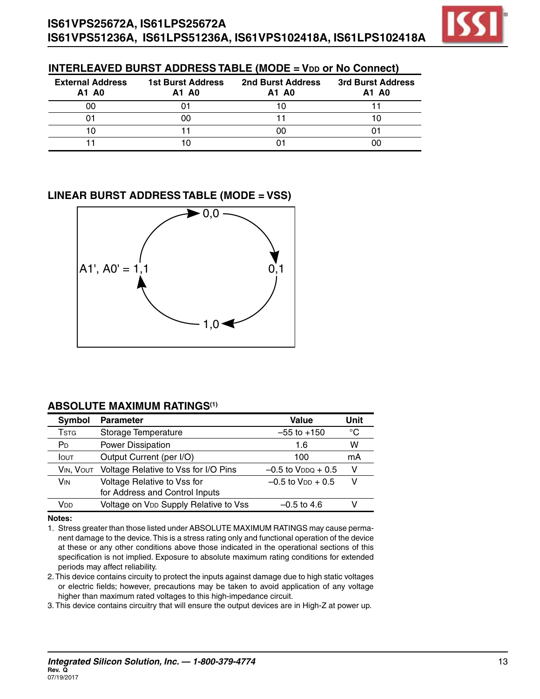

| $1111$ construction about the implicant study of the control $\alpha$ |                                   |                            |                            |  |  |  |  |  |  |  |
|-----------------------------------------------------------------------|-----------------------------------|----------------------------|----------------------------|--|--|--|--|--|--|--|
| <b>External Address</b><br>A1 A0                                      | <b>1st Burst Address</b><br>A1 A0 | 2nd Burst Address<br>A1 A0 | 3rd Burst Address<br>A1 A0 |  |  |  |  |  |  |  |
| 00                                                                    |                                   |                            |                            |  |  |  |  |  |  |  |
|                                                                       | 00                                |                            |                            |  |  |  |  |  |  |  |
| 10                                                                    |                                   | 00                         |                            |  |  |  |  |  |  |  |
|                                                                       |                                   |                            |                            |  |  |  |  |  |  |  |

#### **INTERLEAVED BURST ADDRESS TABLE (MODE = Vdd or No Connect)**

#### **LINEAR BURST ADDRESS TABLE (MODE = Vss)**



#### **ABSOLUTE MAXIMUM RATINGS(1)**

| Symbol                   | <b>Parameter</b>                      | Value                     | Unit |
|--------------------------|---------------------------------------|---------------------------|------|
| <b>T</b> st <sub>G</sub> | Storage Temperature                   | $-55$ to $+150$           | °C   |
| P <sub>D</sub>           | Power Dissipation                     | 1.6                       | w    |
| <b>I</b> OUT             | Output Current (per I/O)              | 100                       | mA   |
| VIN, VOUT                | Voltage Relative to Vss for I/O Pins  | $-0.5$ to $V_{DDQ} + 0.5$ | v    |
| <b>V<sub>IN</sub></b>    | Voltage Relative to Vss for           | $-0.5$ to $V_{DD} + 0.5$  | v    |
|                          | for Address and Control Inputs        |                           |      |
| Vnn                      | Voltage on VDD Supply Relative to Vss | $-0.5$ to 4.6             |      |

**Notes:**

- 1. Stress greater than those listed under ABSOLUTE MAXIMUM RATINGS may cause permanent damage to the device.This is a stress rating only and functional operation of the device at these or any other conditions above those indicated in the operational sections of this specification is not implied. Exposure to absolute maximum rating conditions for extended periods may affect reliability.
- 2.This device contains circuity to protect the inputs against damage due to high static voltages or electric fields; however, precautions may be taken to avoid application of any voltage higher than maximum rated voltages to this high-impedance circuit.

3. This device contains circuitry that will ensure the output devices are in High-Z at power up.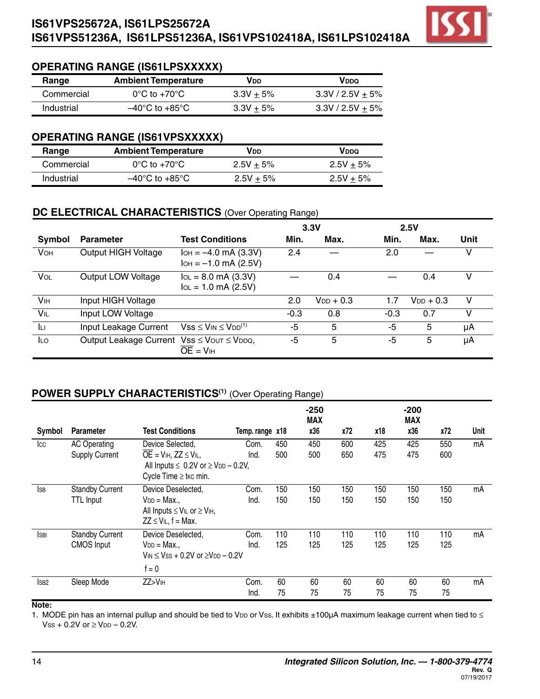

# **OPERATING RANGE (IS61LPSXXXXX)**

| Range      | <b>Ambient Temperature</b>         | VDD         | <b>V</b> <sub>DDQ</sub> |
|------------|------------------------------------|-------------|-------------------------|
| Commercial | $0^{\circ}$ C to +70 $^{\circ}$ C  | $3.3V + 5%$ | $3.3V / 2.5V + 5%$      |
| Industrial | $-40^{\circ}$ C to $+85^{\circ}$ C | $3.3V + 5%$ | $3.3V / 2.5V + 5%$      |

# **OPERATING RANGE (IS61VPSXXXXX)**

| Range      | <b>Ambient Temperature</b>         | VDD         | <b>V</b> <sub>DDQ</sub> |
|------------|------------------------------------|-------------|-------------------------|
| Commercial | $0^{\circ}$ C to +70 $^{\circ}$ C  | $2.5V + 5%$ | $2.5V + 5%$             |
| Industrial | $-40^{\circ}$ C to $+85^{\circ}$ C | $2.5V + 5%$ | $2.5V + 5%$             |

# **DC ELECTRICAL CHARACTERISTICS** (Over Operating Range)

|                       |                                           |                                                        | 3.3V   |                | 2.5V   |                |      |
|-----------------------|-------------------------------------------|--------------------------------------------------------|--------|----------------|--------|----------------|------|
| Symbol                | <b>Parameter</b>                          | <b>Test Conditions</b>                                 | Min.   | Max.           | Min.   | Max.           | Unit |
| VOH                   | <b>Output HIGH Voltage</b>                | $I_{OH} = -4.0$ mA (3.3V)<br>$I$ OH = $-1.0$ mA (2.5V) | 2.4    |                | 2.0    |                | v    |
| VOL                   | Output LOW Voltage                        | $I_{OL} = 8.0$ mA (3.3V)<br>$I_{OL} = 1.0$ mA (2.5V)   |        | 0.4            |        | 0.4            |      |
| <b>V<sub>IH</sub></b> | Input HIGH Voltage                        |                                                        | 2.0    | $V_{DD}$ + 0.3 | 1.7    | $V_{DD} + 0.3$ | v    |
| VIL                   | Input LOW Voltage                         |                                                        | $-0.3$ | 0.8            | $-0.3$ | 0.7            | v    |
| ĪЦ                    | Input Leakage Current                     | $Vss \leq V_{IN} \leq V_{DD}^{(1)}$                    | -5     | 5              | -5     | 5              | μA   |
| <b>ILO</b>            | Output Leakage Current Vss ≤ Vout ≤ VDDQ, | $\overline{OE}$ = $VIH$                                | -5     | 5              | -5     | 5              | μA   |

# POWER SUPPLY CHARACTERISTICS<sup>(1)</sup> (Over Operating Range)

|                  |                        |                                                                                          |                |     | $-250$<br><b>MAX</b> |     |     | $-200$<br><b>MAX</b> |     |             |
|------------------|------------------------|------------------------------------------------------------------------------------------|----------------|-----|----------------------|-----|-----|----------------------|-----|-------------|
| Symbol           | <b>Parameter</b>       | <b>Test Conditions</b>                                                                   | Temp.range x18 |     | x36                  | x72 | x18 | x36                  | x72 | <b>Unit</b> |
| <b>I</b> cc      | <b>AC Operating</b>    | Device Selected.                                                                         | Com.           | 450 | 450                  | 600 | 425 | 425                  | 550 | mA          |
|                  | <b>Supply Current</b>  | $\overline{OE}$ = V <sub>IH</sub> , ZZ $\leq$ V <sub>IL</sub> ,                          | Ind.           | 500 | 500                  | 650 | 475 | 475                  | 600 |             |
|                  |                        | All Inputs $\leq 0.2V$ or $\geq$ V <sub>DD</sub> $-0.2V$ ,<br>Cycle Time $\geq$ tkc min. |                |     |                      |     |     |                      |     |             |
| <b>ISB</b>       | <b>Standby Current</b> | Device Deselected,                                                                       | Com.           | 150 | 150                  | 150 | 150 | 150                  | 150 | mA          |
|                  | <b>TTL Input</b>       | $V_{DD} = Max$                                                                           | Ind.           | 150 | 150                  | 150 | 150 | 150                  | 150 |             |
|                  |                        | All Inputs $\leq$ V <sub>IL</sub> or $\geq$ V <sub>IH</sub> ,                            |                |     |                      |     |     |                      |     |             |
|                  |                        | $ZZ \leq V \rvert L$ , $f = Max$ .                                                       |                |     |                      |     |     |                      |     |             |
| <b>ISBI</b>      | <b>Standby Current</b> | Device Deselected,                                                                       | Com.           | 110 | 110                  | 110 | 110 | 110                  | 110 | mA          |
|                  | <b>CMOS Input</b>      | $V_{DD} = Max$                                                                           | Ind.           | 125 | 125                  | 125 | 125 | 125                  | 125 |             |
|                  |                        | $V_{IN}$ < $V_{SS}$ + 0.2V or $>$ V <sub>DD</sub> – 0.2V                                 |                |     |                      |     |     |                      |     |             |
|                  |                        | $f = 0$                                                                                  |                |     |                      |     |     |                      |     |             |
| I <sub>SB2</sub> | Sleep Mode             | ZZ>VIH                                                                                   | Com.           | 60  | 60                   | 60  | 60  | 60                   | 60  | mA          |
|                  |                        |                                                                                          | Ind.           | 75  | 75                   | 75  | 75  | 75                   | 75  |             |

#### **Note:**

1. MODE pin has an internal pullup and should be tied to V<sub>DD</sub> or Vss. It exhibits ±100µA maximum leakage current when tied to  $\leq$  $V$ ss + 0.2V or ≥ V<sub>DD</sub> – 0.2V.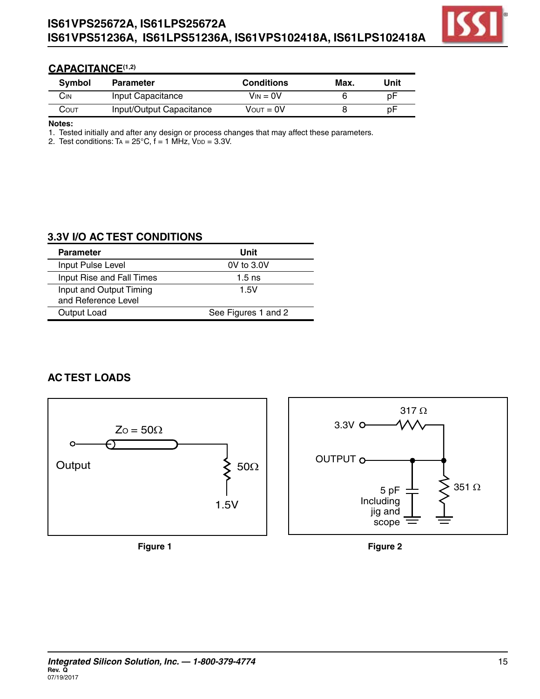

#### **CAPACITANCE(1,2)**

| Symbol | <b>Parameter</b>         | <b>Conditions</b> | Max. | Unit |
|--------|--------------------------|-------------------|------|------|
| Сім    | Input Capacitance        | $V_{IN} = 0V$     | Б    | рF   |
| Соυт   | Input/Output Capacitance | $V$ OUT = $0V$    |      | рF   |

**Notes:**

1. Tested initially and after any design or process changes that may affect these parameters.

2. Test conditions:  $TA = 25^{\circ}C$ ,  $f = 1$  MHz,  $V_{DD} = 3.3V$ .

#### **3.3V I/O AC TEST CONDITIONS**

| <b>Parameter</b>                               | Unit                |
|------------------------------------------------|---------------------|
| Input Pulse Level                              | 0V to 3.0V          |
| Input Rise and Fall Times                      | $1.5$ ns            |
| Input and Output Timing<br>and Reference Level | 1.5V                |
| Output Load                                    | See Figures 1 and 2 |

# **AC TEST LOADS**



**Figure 1**



**Figure 2**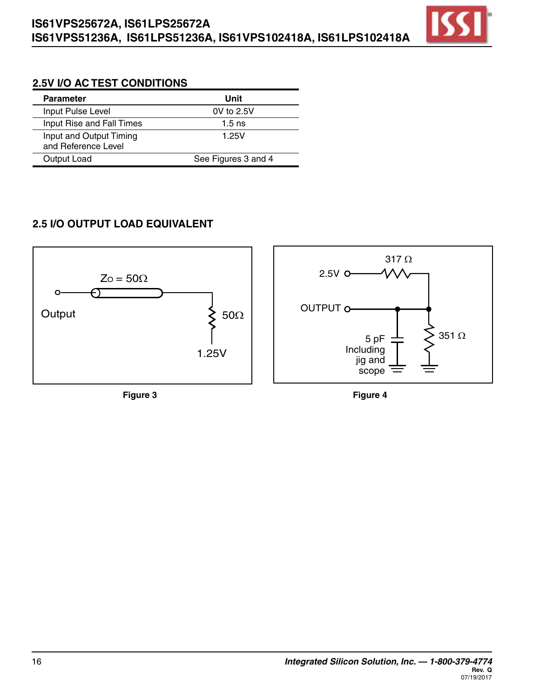

# **2.5V I/O AC TEST CONDITIONS**

| <b>Parameter</b>                               | Unit                |
|------------------------------------------------|---------------------|
| Input Pulse Level                              | $0V$ to $2.5V$      |
| Input Rise and Fall Times                      | $1.5$ ns            |
| Input and Output Timing<br>and Reference Level | 1.25V               |
| Output Load                                    | See Figures 3 and 4 |

# **2.5 I/O OUTPUT LOAD EQUIVALENT**

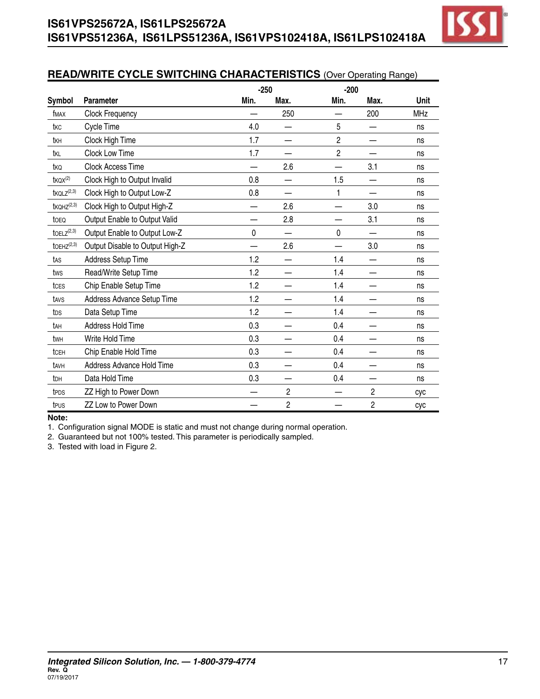

# **READ/WRITE CYCLE SWITCHING CHARACTERISTICS** (Over Operating Range)

|                  |                                 |      | $-250$         |                | $-200$         |            |
|------------------|---------------------------------|------|----------------|----------------|----------------|------------|
| Symbol           | <b>Parameter</b>                | Min. | Max.           | Min.           | Max.           | Unit       |
| fMAX             | <b>Clock Frequency</b>          |      | 250            |                | 200            | <b>MHz</b> |
| tkc              | Cycle Time                      | 4.0  |                | 5              |                | ns         |
| tkh              | Clock High Time                 | 1.7  |                | $\overline{c}$ |                | ns         |
| tkl              | <b>Clock Low Time</b>           | 1.7  |                | 2              |                | ns         |
| tko              | <b>Clock Access Time</b>        |      | 2.6            |                | 3.1            | ns         |
| $t$ KQX $(2)$    | Clock High to Output Invalid    | 0.8  |                | 1.5            |                | ns         |
| $t$ KOLZ $(2,3)$ | Clock High to Output Low-Z      | 0.8  |                | 1              |                | ns         |
| $t$ KQHZ $(2,3)$ | Clock High to Output High-Z     |      | 2.6            |                | 3.0            | ns         |
| to <sub>EQ</sub> | Output Enable to Output Valid   |      | 2.8            |                | 3.1            | ns         |
| $toELZ^{(2,3)}$  | Output Enable to Output Low-Z   | 0    |                | 0              |                | ns         |
| $toEHZ^{(2,3)}$  | Output Disable to Output High-Z |      | 2.6            |                | 3.0            | ns         |
| tas              | Address Setup Time              | 1.2  |                | 1.4            |                | ns         |
| tws              | Read/Write Setup Time           | 1.2  |                | 1.4            |                | ns         |
| tces             | Chip Enable Setup Time          | 1.2  |                | 1.4            |                | ns         |
| tavs             | Address Advance Setup Time      | 1.2  |                | 1.4            |                | ns         |
| tps              | Data Setup Time                 | 1.2  |                | 1.4            |                | ns         |
| tah              | Address Hold Time               | 0.3  |                | 0.4            |                | ns         |
| twh              | Write Hold Time                 | 0.3  |                | 0.4            |                | ns         |
| tceh             | Chip Enable Hold Time           | 0.3  |                | 0.4            |                | ns         |
| tavh             | Address Advance Hold Time       | 0.3  |                | 0.4            |                | ns         |
| t <sub>DH</sub>  | Data Hold Time                  | 0.3  |                | 0.4            |                | ns         |
| t <sub>PDS</sub> | ZZ High to Power Down           |      | $\overline{c}$ |                | $\overline{c}$ | cyc        |
| trus             | ZZ Low to Power Down            |      | 2              |                | 2              | cyc        |

**Note:**

1. Configuration signal MODE is static and must not change during normal operation.

2. Guaranteed but not 100% tested. This parameter is periodically sampled.

3. Tested with load in Figure 2.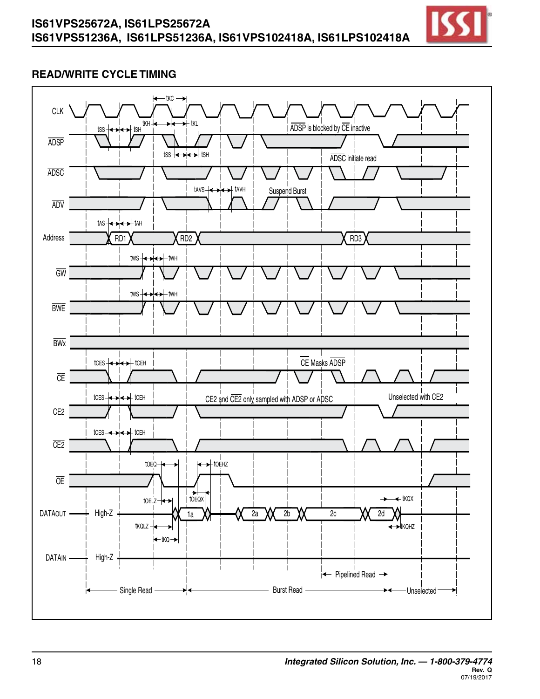

# **READ/WRITE CYCLE TIMING**

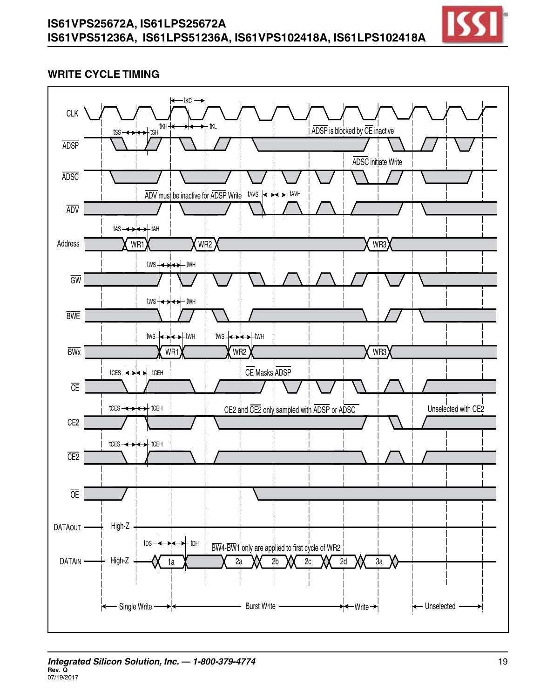

# **WRITE CYCLE TIMING**

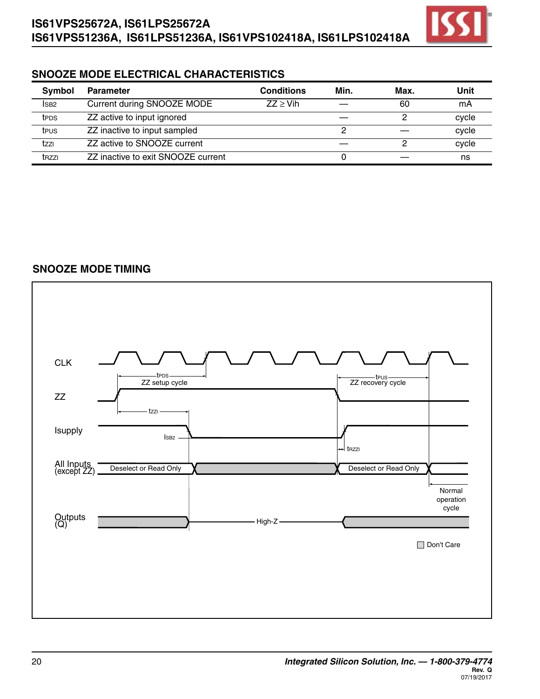

# **SNOOZE MODE ELECTRICAL CHARACTERISTICS**

| Symbol            | <b>Parameter</b>                   | <b>Conditions</b> | Min. | Max. | Unit  |
|-------------------|------------------------------------|-------------------|------|------|-------|
| ISB <sub>2</sub>  | Current during SNOOZE MODE         | ZZ > Vih          |      | 60   | mA    |
| t <sub>PDS</sub>  | ZZ active to input ignored         |                   |      |      | cycle |
| t <sub>Pus</sub>  | ZZ inactive to input sampled       |                   |      |      | cycle |
| tzzı              | ZZ active to SNOOZE current        |                   |      |      | cycle |
| t <sub>RZZI</sub> | ZZ inactive to exit SNOOZE current |                   |      |      | ns    |

# **SNOOZE MODE TIMING**

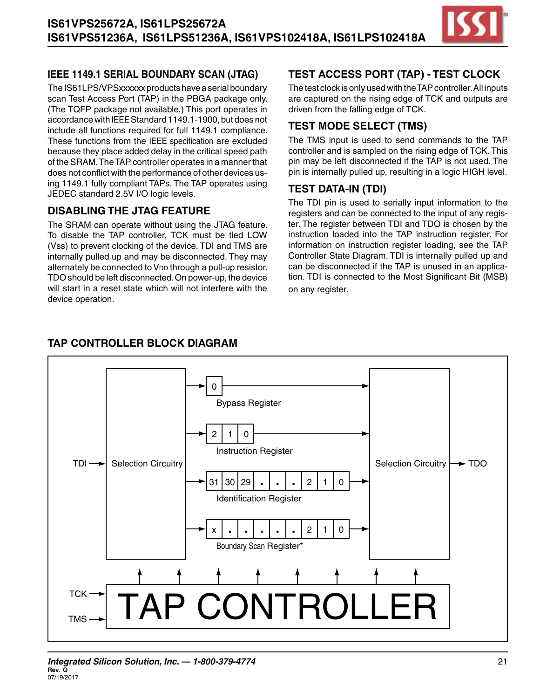

# **IEEE 1149.1 Serial Boundary Scan (JTAG)**

The IS61LPS/VPSxxxxxx products have a serial boundary scan Test Access Port (TAP) in the PBGA package only. (The TQFP package not available.) This port operates in accordance with IEEEStandard 1149.1-1900, but does not include all functions required for full 1149.1 compliance. These functions from the IEEE specification are excluded because they place added delay in the critical speed path of the SRAM. The TAP controller operates in a manner that does not conflict with the performance of other devices using 1149.1 fully compliant TAPs. The TAP operates using JEDEC standard 2.5V I/O logic levels.

# **Disabling the JTAG Feature**

The SRAM can operate without using the JTAG feature. To disable the TAP controller, TCK must be tied LOW (Vss) to prevent clocking of the device. TDI and TMS are internally pulled up and may be disconnected. They may alternately be connected to VDD through a pull-up resistor. TDO should be left disconnected.On power-up, the device will start in a reset state which will not interfere with the device operation.

# **Test Access Port (TAP) - Test Clock**

The test clock is only used with the TAP controller. All inputs are captured on the rising edge of TCK and outputs are driven from the falling edge of TCK.

# **Test Mode Select (TMS)**

The TMS input is used to send commands to the TAP controller and is sampled on the rising edge of TCK. This pin may be left disconnected if the TAP is not used. The pin is internally pulled up, resulting in a logic HIGH level.

# **Test Data-In (TDI)**

The TDI pin is used to serially input information to the registers and can be connected to the input of any register. The register between TDI and TDO is chosen by the instruction loaded into the TAP instruction register. For information on instruction register loading, see the TAP Controller State Diagram. TDI is internally pulled up and can be disconnected if the TAP is unused in an application. TDI is connected to the Most Significant Bit (MSB) on any register.



# **tap controller block diagram**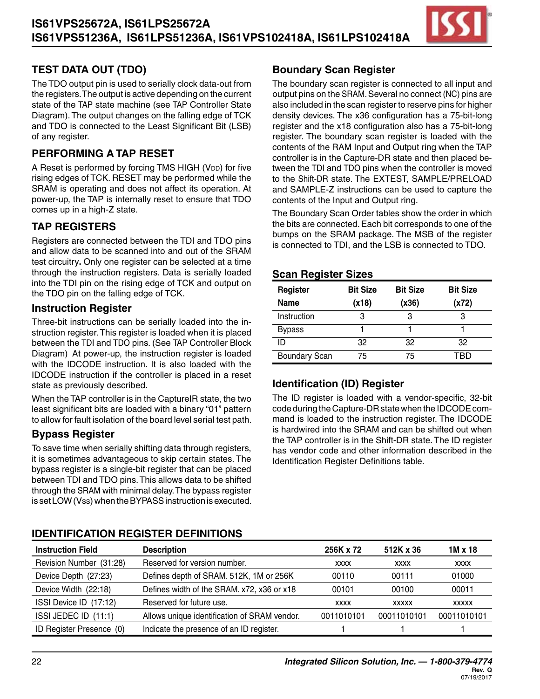

# **Test Data Out (TDO)**

The TDO output pin is used to serially clock data-out from the registers.The output is active depending on the current state of the TAP state machine (see TAP Controller State Diagram).The output changes on the falling edge of TCK and TDO is connected to the Least Significant Bit (LSB) of any register.

# **Performing a TAP Reset**

A Reset is performed by forcing TMS HIGH (VDD) for five rising edges of TCK. RESET may be performed while the SRAM is operating and does not affect its operation. At power-up, the TAP is internally reset to ensure that TDO comes up in a high-Z state.

# **TAP Registers**

Registers are connected between the TDI and TDO pins and allow data to be scanned into and out of the SRAM test circuitry**.** Only one register can be selected at a time through the instruction registers. Data is serially loaded into the TDI pin on the rising edge of TCK and output on the TDO pin on the falling edge of TCK.

#### **Instruction Register**

Three-bit instructions can be serially loaded into the instruction register.This register is loaded when it is placed between the TDI and TDO pins. (See TAP Controller Block Diagram) At power-up, the instruction register is loaded with the IDCODE instruction. It is also loaded with the IDCODE instruction if the controller is placed in a reset state as previously described.

When the TAP controller is in the CaptureIR state, the two least significant bits are loaded with a binary "01" pattern to allow for fault isolation of the board level serial test path.

#### **Bypass Register**

To save time when serially shifting data through registers, it is sometimes advantageous to skip certain states. The bypass register is a single-bit register that can be placed between TDI and TDO pins.This allows data to be shifted through the SRAM with minimal delay.The bypass register is set LOW (Vss) when the BYPASS instruction is executed.

#### **Boundary Scan Register**

The boundary scan register is connected to all input and output pins on the SRAM. Several no connect (NC) pins are also included in the scan register to reserve pins for higher density devices. The x36 configuration has a 75-bit-long register and the x18 configuration also has a 75-bit-long register. The boundary scan register is loaded with the contents of the RAM Input and Output ring when the TAP controller is in the Capture-DR state and then placed between the TDI and TDO pins when the controller is moved to the Shift-DR state. The EXTEST, SAMPLE/PRELOAD and SAMPLE-Z instructions can be used to capture the contents of the Input and Output ring.

The Boundary Scan Order tables show the order in which the bits are connected.Each bit corresponds to one of the bumps on the SRAM package. The MSB of the register is connected to TDI, and the LSB is connected to TDO.

#### **Scan Register Sizes**

| Register             | <b>Bit Size</b> | <b>Bit Size</b> | <b>Bit Size</b> |
|----------------------|-----------------|-----------------|-----------------|
| <b>Name</b>          | (x18)           | (x36)           | (x72)           |
| Instruction          | 3               | 3               | 3               |
| <b>Bypass</b>        |                 |                 |                 |
| ID                   | 32              | 32              | 32              |
| <b>Boundary Scan</b> | 75              | 75              |                 |

#### **Identification (ID) Register**

The ID register is loaded with a vendor-specific, 32-bit code during theCapture-DRstatewhen the IDCODEcommand is loaded to the instruction register. The IDCODE is hardwired into the SRAM and can be shifted out when the TAP controller is in the Shift-DR state.The ID register has vendor code and other information described in the Identification Register Definitions table.

# **Identification Register Definitions**

| <b>Instruction Field</b> | <b>Description</b>                           | 256K x 72   | 512K x 36    | $1M \times 18$ |
|--------------------------|----------------------------------------------|-------------|--------------|----------------|
| Revision Number (31:28)  | Reserved for version number.                 | <b>XXXX</b> | <b>XXXX</b>  | <b>XXXX</b>    |
| Device Depth (27:23)     | Defines depth of SRAM. 512K, 1M or 256K      | 00110       | 00111        | 01000          |
| Device Width (22:18)     | Defines width of the SRAM. x72, x36 or x18   | 00101       | 00100        | 00011          |
| ISSI Device ID (17:12)   | Reserved for future use.                     | <b>XXXX</b> | <b>XXXXX</b> | <b>XXXXX</b>   |
| ISSI JEDEC ID (11:1)     | Allows unique identification of SRAM vendor. | 0011010101  | 00011010101  | 00011010101    |
| ID Register Presence (0) | Indicate the presence of an ID register.     |             |              |                |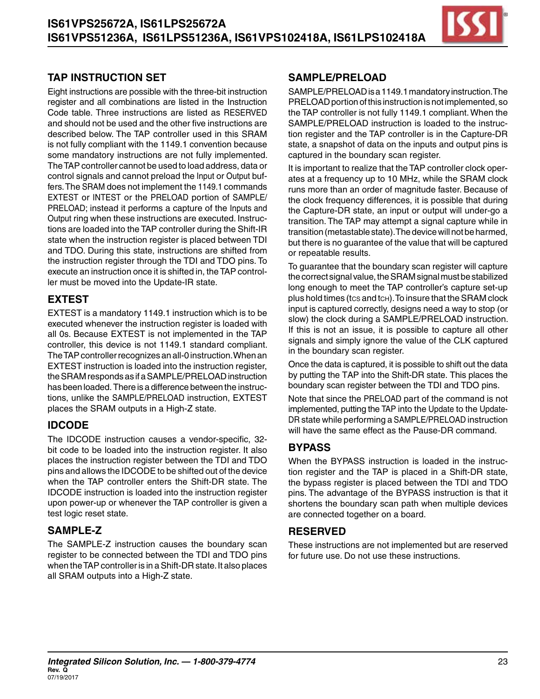#### **TAP Instruction Set**

Eight instructions are possible with the three-bit instruction register and all combinations are listed in the Instruction Code table. Three instructions are listed as RESERVED and should not be used and the other five instructions are described below. The TAP controller used in this SRAM is not fully compliant with the 1149.1 convention because some mandatory instructions are not fully implemented. The TAP controller cannot be used to load address, data or control signals and cannot preload the Input or Output buffers.The SRAM does not implement the 1149.1 commands EXTEST or INTEST or the PRELOAD portion of SAMPLE/ PRELOAD; instead it performs a capture of the Inputs and Output ring when these instructions are executed. Instructions are loaded into the TAP controller during the Shift-IR state when the instruction register is placed between TDI and TDO. During this state, instructions are shifted from the instruction register through the TDI and TDO pins. To execute an instruction once it is shifted in, theTAP controller must be moved into the Update-IR state.

#### **EXTEST**

EXTEST is a mandatory 1149.1 instruction which is to be executed whenever the instruction register is loaded with all 0s. Because EXTEST is not implemented in the TAP controller, this device is not 1149.1 standard compliant. The TAP controller recognizes an all-0 instruction. When an EXTEST instruction is loaded into the instruction register, the SRAM responds as if a SAMPLE/PRELOAD instruction has been loaded. There is a difference between the instructions, unlike the SAMPLE/PRELOAD instruction, EXTEST places the SRAM outputs in a High-Z state.

#### **IDCODE**

The IDCODE instruction causes a vendor-specific, 32 bit code to be loaded into the instruction register. It also places the instruction register between the TDI and TDO pins and allows the IDCODE to be shifted out of the device when the TAP controller enters the Shift-DR state. The IDCODE instruction is loaded into the instruction register upon power-up or whenever the TAP controller is given a test logic reset state.

#### **SAMPLE-Z**

The SAMPLE-Z instruction causes the boundary scan register to be connected between the TDI and TDO pins when the TAP controller is in a Shift-DR state. It also places all SRAM outputs into a High-Z state.

#### **SAMPLE/PRELOAD**

SAMPLE/PRELOADisa1149.1mandatoryinstruction.The PRELOAD portion of this instruction is not implemented, so the TAP controller is not fully 1149.1 compliant.When the SAMPLE/PRELOAD instruction is loaded to the instruction register and the TAP controller is in the Capture-DR state, a snapshot of data on the inputs and output pins is captured in the boundary scan register.

It is important to realize that the TAP controller clock operates at a frequency up to 10 MHz, while the SRAM clock runs more than an order of magnitude faster. Because of the clock frequency differences, it is possible that during the Capture-DR state, an input or output will under-go a transition. The TAP may attempt a signal capture while in transition (metastable state). The device will not be harmed, but there is no guarantee of the value that will be captured or repeatable results.

To guarantee that the boundary scan register will capture the correct signal value, the SRAM signal must be stabilized long enough to meet the TAP controller's capture set-up plus hold times (tcs and tch).To insure that theSRAM clock input is captured correctly, designs need a way to stop (or slow) the clock during a SAMPLE/PRELOAD instruction. If this is not an issue, it is possible to capture all other signals and simply ignore the value of the CLK captured in the boundary scan register.

Once the data is captured, it is possible to shift out the data by putting the TAP into the Shift-DR state. This places the boundary scan register between the TDI and TDO pins.

Note that since the PRELOAD part of the command is not implemented, putting the TAP into the Update to the Update-DR state while performing a SAMPLE/PRELOAD instruction will have the same effect as the Pause-DR command.

#### **Bypass**

When the BYPASS instruction is loaded in the instruction register and the TAP is placed in a Shift-DR state, the bypass register is placed between the TDI and TDO pins. The advantage of the BYPASS instruction is that it shortens the boundary scan path when multiple devices are connected together on a board.

#### **Reserved**

These instructions are not implemented but are reserved for future use. Do not use these instructions.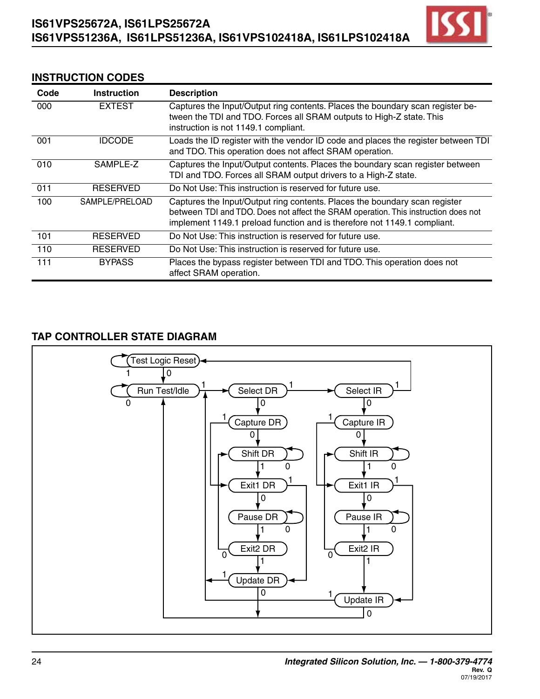

#### **Instruction Codes**

| Code | <b>Instruction</b> | <b>Description</b>                                                                                                                                                                                                                           |
|------|--------------------|----------------------------------------------------------------------------------------------------------------------------------------------------------------------------------------------------------------------------------------------|
| 000  | <b>EXTEST</b>      | Captures the Input/Output ring contents. Places the boundary scan register be-<br>tween the TDI and TDO. Forces all SRAM outputs to High-Z state. This<br>instruction is not 1149.1 compliant.                                               |
| 001  | <b>IDCODE</b>      | Loads the ID register with the vendor ID code and places the register between TDI<br>and TDO. This operation does not affect SRAM operation.                                                                                                 |
| 010  | SAMPLE-Z           | Captures the Input/Output contents. Places the boundary scan register between<br>TDI and TDO. Forces all SRAM output drivers to a High-Z state.                                                                                              |
| 011  | <b>RESERVED</b>    | Do Not Use: This instruction is reserved for future use.                                                                                                                                                                                     |
| 100  | SAMPLE/PRELOAD     | Captures the Input/Output ring contents. Places the boundary scan register<br>between TDI and TDO. Does not affect the SRAM operation. This instruction does not<br>implement 1149.1 preload function and is therefore not 1149.1 compliant. |
| 101  | <b>RESERVED</b>    | Do Not Use: This instruction is reserved for future use.                                                                                                                                                                                     |
| 110  | <b>RESERVED</b>    | Do Not Use: This instruction is reserved for future use.                                                                                                                                                                                     |
| 111  | <b>BYPASS</b>      | Places the bypass register between TDI and TDO. This operation does not<br>affect SRAM operation.                                                                                                                                            |

# **TAP CONTROLLER STATE DIAGRAM**

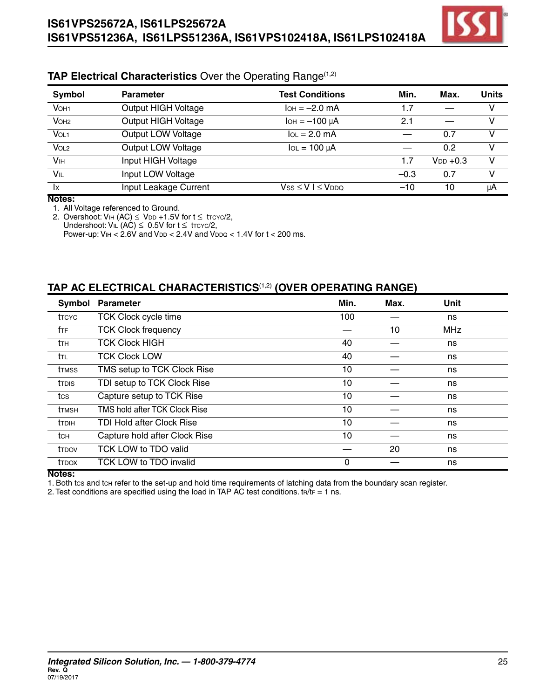

#### **TAP Electrical Characteristics** Over the Operating Range<sup>(1,2)</sup>

| Symbol                | <b>Parameter</b>           | <b>Test Conditions</b>        | Min.   | Max.          | <b>Units</b> |
|-----------------------|----------------------------|-------------------------------|--------|---------------|--------------|
| VOH <sub>1</sub>      | Output HIGH Voltage        | $I$ <sub>OH</sub> = $-2.0$ mA | 1.7    |               | v            |
| VOH <sub>2</sub>      | <b>Output HIGH Voltage</b> | $I$ OH = $-100 \mu$ A         | 2.1    |               | v            |
| VOL1                  | <b>Output LOW Voltage</b>  | $IOL = 2.0 mA$                |        | 0.7           | V            |
| VOL <sub>2</sub>      | Output LOW Voltage         | $IOL = 100 \mu A$             |        | 0.2           | v            |
| <b>V<sub>IH</sub></b> | Input HIGH Voltage         |                               | 1.7    | $V_{DD} +0.3$ |              |
| VIL                   | Input LOW Voltage          |                               | $-0.3$ | 0.7           | v            |
| Ix                    | Input Leakage Current      | $Vss \le V$   $\le V$ DDQ     | $-10$  | 10            | μA           |

**Notes:**

1. All Voltage referenced to Ground.

2. Overshoot: VIH (AC)  $\leq$  VDD +1.5V for t  $\leq$  trcyc/2, Undershoot:  $V_{IL}$  (AC)  $\leq$  0.5V for  $t \leq$  trcyc/2, Power-up:  $V_{\text{IH}} < 2.6V$  and  $V_{\text{DD}} < 2.4V$  and  $V_{\text{DDQ}} < 1.4V$  for  $t < 200$  ms.

#### **TAP AC ELECTRICAL CHARACTERISTICS**(1,2) **(Over Operating Range)**

| Symbol          | <b>Parameter</b>              | Min. | Max. | Unit       |
|-----------------|-------------------------------|------|------|------------|
| <b>t</b> TCYC   | <b>TCK Clock cycle time</b>   | 100  |      | ns         |
| fte             | <b>TCK Clock frequency</b>    |      | 10   | <b>MHz</b> |
| t <sub>TH</sub> | <b>TCK Clock HIGH</b>         | 40   |      | ns         |
| ttl             | <b>TCK Clock LOW</b>          | 40   |      | ns         |
| <b>t</b> TMSS   | TMS setup to TCK Clock Rise   | 10   |      | ns         |
| ttdis           | TDI setup to TCK Clock Rise   | 10   |      | ns         |
| tcs             | Capture setup to TCK Rise     | 10   |      | ns         |
| ttmsh           | TMS hold after TCK Clock Rise | 10   |      | ns         |
| <b>t</b> TDIH   | TDI Hold after Clock Rise     | 10   |      | ns         |
| tch             | Capture hold after Clock Rise | 10   |      | ns         |
| ttdov           | TCK LOW to TDO valid          |      | 20   | ns         |
| ttdox           | <b>TCK LOW to TDO invalid</b> | 0    |      | ns         |

**Notes:**

1. Both tcs and tch refer to the set-up and hold time requirements of latching data from the boundary scan register.

2. Test conditions are specified using the load in TAP AC test conditions.  $tr/k = 1$  ns.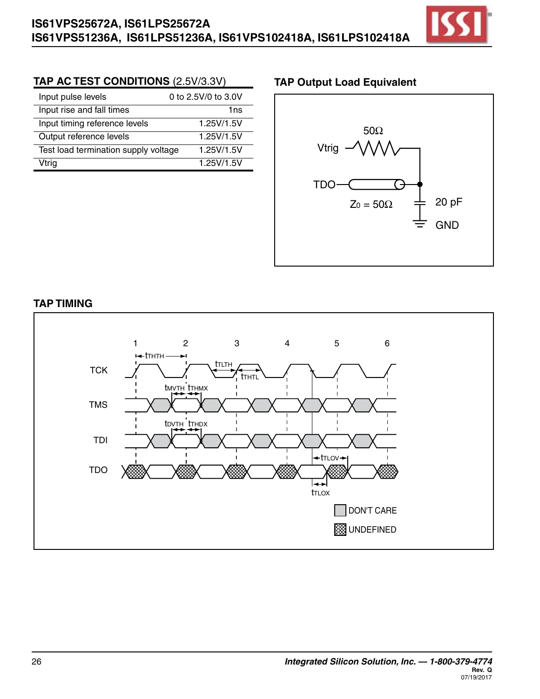

# **TAP AC TEST CONDITIONS** (2.5V/3.3V) **TAP Output Load Equivalent**

| Input pulse levels                   | 0 to 2.5V/0 to 3.0V |
|--------------------------------------|---------------------|
| Input rise and fall times            | 1ns                 |
| Input timing reference levels        | 1.25V/1.5V          |
| Output reference levels              | 1.25V/1.5V          |
| Test load termination supply voltage | 1.25V/1.5V          |
| Vtrig                                | 1.25V/1.5V          |



#### **Tap timing**

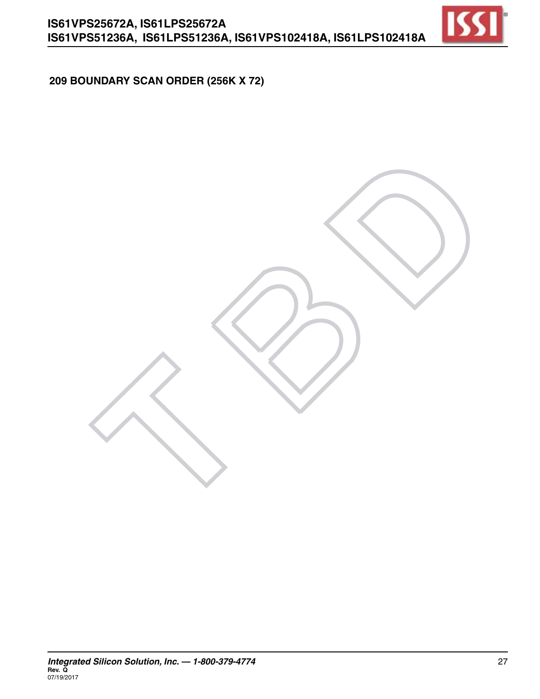

**209 Boundary Scan Order (256K X 72)**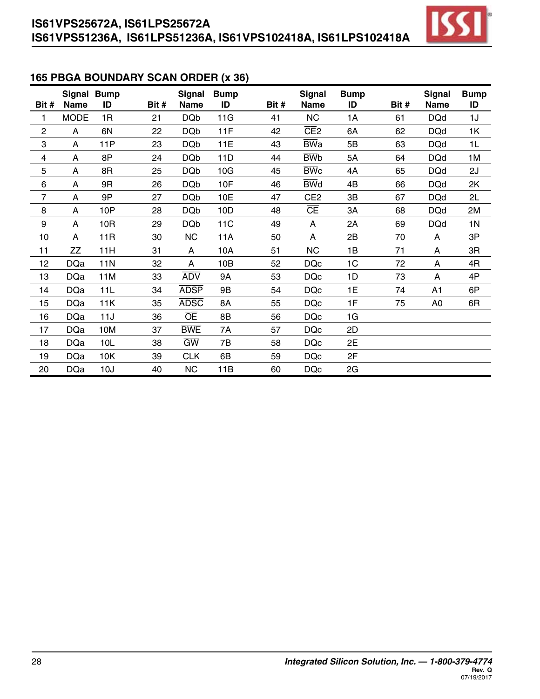

# **165 PBGA Boundary Scan Order (x 36)**

| Bit #          | <b>Name</b> | Signal Bump<br>ID | Bit # | <b>Signal</b><br><b>Name</b> | <b>Bump</b><br>ID | Bit # | <b>Signal</b><br><b>Name</b> | <b>Bump</b><br>ID | Bit # | <b>Signal</b><br><b>Name</b> | <b>Bump</b><br>ID |
|----------------|-------------|-------------------|-------|------------------------------|-------------------|-------|------------------------------|-------------------|-------|------------------------------|-------------------|
| 1              | <b>MODE</b> | 1R                | 21    | <b>DQb</b>                   | 11G               | 41    | <b>NC</b>                    | 1A                | 61    | <b>DQd</b>                   | 1J                |
| $\overline{c}$ | A           | 6N                | 22    | <b>DQb</b>                   | 11F               | 42    | CE <sub>2</sub>              | 6A                | 62    | <b>DQd</b>                   | 1K                |
| 3              | A           | 11P               | 23    | <b>DQb</b>                   | 11E               | 43    | <b>BWa</b>                   | 5B                | 63    | <b>DQd</b>                   | 1L                |
| 4              | A           | 8P                | 24    | <b>DQb</b>                   | 11D               | 44    | <b>BWb</b>                   | 5A                | 64    | <b>DQd</b>                   | 1M                |
| 5              | A           | 8R                | 25    | <b>DQb</b>                   | 10G               | 45    | $\overline{\text{BW}}$ c     | 4A                | 65    | <b>DQd</b>                   | 2J                |
| $\,6$          | A           | 9R                | 26    | <b>DQb</b>                   | 10F               | 46    | <b>BWd</b>                   | 4B                | 66    | <b>DQd</b>                   | 2K                |
| 7              | A           | 9P                | 27    | <b>DQb</b>                   | 10E               | 47    | CE <sub>2</sub>              | 3B                | 67    | <b>DQd</b>                   | 2L                |
| 8              | A           | 10P               | 28    | <b>DQb</b>                   | 10D               | 48    | <b>CE</b>                    | 3A                | 68    | <b>DQd</b>                   | 2M                |
| 9              | A           | 10R               | 29    | <b>DQb</b>                   | <b>11C</b>        | 49    | A                            | 2A                | 69    | <b>DQd</b>                   | 1 <sub>N</sub>    |
| 10             | A           | 11 <sub>R</sub>   | 30    | <b>NC</b>                    | 11A               | 50    | A                            | 2B                | 70    | A                            | 3P                |
| 11             | ZZ          | 11H               | 31    | A                            | 10A               | 51    | <b>NC</b>                    | 1B                | 71    | A                            | 3R                |
| 12             | <b>DQa</b>  | <b>11N</b>        | 32    | A                            | 10B               | 52    | <b>DQc</b>                   | 1 <sub>C</sub>    | 72    | A                            | 4R                |
| 13             | <b>DQa</b>  | 11M               | 33    | <b>ADV</b>                   | 9A                | 53    | <b>DQc</b>                   | 1D                | 73    | A                            | 4P                |
| 14             | <b>DQa</b>  | 11L               | 34    | <b>ADSP</b>                  | 9B                | 54    | <b>DQc</b>                   | 1E                | 74    | A1                           | 6P                |
| 15             | <b>DQa</b>  | 11K               | 35    | <b>ADSC</b>                  | 8A                | 55    | <b>DQc</b>                   | 1F                | 75    | A <sub>0</sub>               | 6R                |
| 16             | <b>DQa</b>  | 11J               | 36    | <b>OE</b>                    | 8B                | 56    | <b>DQc</b>                   | 1G                |       |                              |                   |
| 17             | <b>DQa</b>  | 10M               | 37    | <b>BWE</b>                   | 7A                | 57    | <b>DQc</b>                   | 2D                |       |                              |                   |
| 18             | <b>DQa</b>  | 10L               | 38    | $\overline{GW}$              | 7B                | 58    | <b>DQc</b>                   | 2E                |       |                              |                   |
| 19             | <b>DQa</b>  | 10K               | 39    | <b>CLK</b>                   | 6B                | 59    | <b>DQc</b>                   | 2F                |       |                              |                   |
| 20             | <b>DQa</b>  | 10J               | 40    | <b>NC</b>                    | 11B               | 60    | <b>DQc</b>                   | 2G                |       |                              |                   |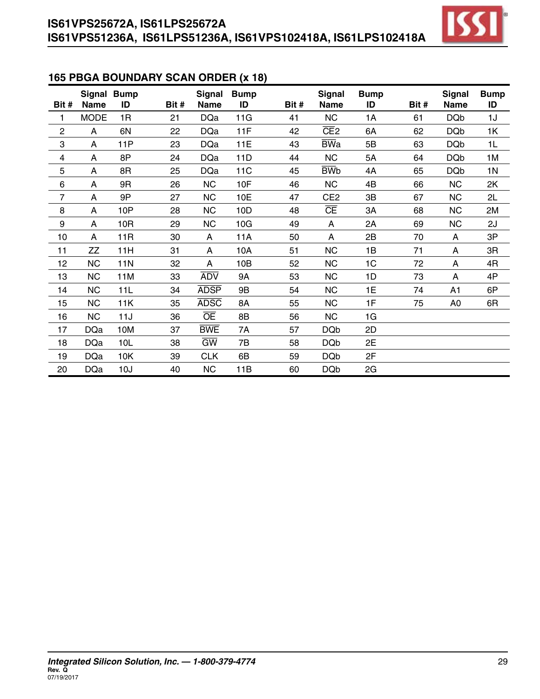

# **165 PBGA Boundary Scan Order (x 18)**

| Bit #                   | Signal Bump<br><b>Name</b> | ID              | Bit # | Signal<br><b>Name</b>  | <b>Bump</b><br>ID | Bit # | <b>Signal</b><br><b>Name</b> | <b>Bump</b><br>ID | Bit # | Signal<br><b>Name</b> | <b>Bump</b><br>ID |
|-------------------------|----------------------------|-----------------|-------|------------------------|-------------------|-------|------------------------------|-------------------|-------|-----------------------|-------------------|
| 1                       | <b>MODE</b>                | 1R              | 21    | <b>DQa</b>             | 11G               | 41    | <b>NC</b>                    | 1A                | 61    | <b>DQb</b>            | 1J                |
| $\mathbf 2$             | A                          | 6N              | 22    | <b>DQa</b>             | 11F               | 42    | CE <sub>2</sub>              | 6A                | 62    | <b>DQb</b>            | 1K                |
| 3                       | A                          | 11P             | 23    | <b>DQa</b>             | 11E               | 43    | <b>BWa</b>                   | 5B                | 63    | <b>DQb</b>            | 1L                |
| $\overline{\mathbf{4}}$ | A                          | 8P              | 24    | <b>DQa</b>             | 11D               | 44    | <b>NC</b>                    | 5A                | 64    | <b>DQb</b>            | 1M                |
| 5                       | A                          | 8R              | 25    | <b>DQa</b>             | 11C               | 45    | <b>BWb</b>                   | 4A                | 65    | <b>DQb</b>            | 1 <sub>N</sub>    |
| 6                       | A                          | 9R              | 26    | <b>NC</b>              | 10F               | 46    | <b>NC</b>                    | 4B                | 66    | <b>NC</b>             | 2K                |
| 7                       | A                          | 9P              | 27    | <b>NC</b>              | 10E               | 47    | CE <sub>2</sub>              | 3B                | 67    | <b>NC</b>             | 2L                |
| 8                       | A                          | 10P             | 28    | <b>NC</b>              | 10D               | 48    | CE                           | 3A                | 68    | <b>NC</b>             | 2M                |
| 9                       | A                          | 10R             | 29    | <b>NC</b>              | 10G               | 49    | A                            | 2A                | 69    | <b>NC</b>             | 2J                |
| 10                      | A                          | 11 <sub>R</sub> | 30    | A                      | 11A               | 50    | A                            | 2B                | 70    | A                     | 3P                |
| 11                      | ZZ                         | 11H             | 31    | A                      | 10A               | 51    | <b>NC</b>                    | 1B                | 71    | A                     | 3R                |
| 12                      | <b>NC</b>                  | <b>11N</b>      | 32    | A                      | 10B               | 52    | <b>NC</b>                    | 1 <sub>C</sub>    | 72    | A                     | 4R                |
| 13                      | <b>NC</b>                  | 11M             | 33    | <b>ADV</b>             | <b>9A</b>         | 53    | <b>NC</b>                    | 1D                | 73    | A                     | 4P                |
| 14                      | <b>NC</b>                  | 11L             | 34    | <b>ADSP</b>            | 9B                | 54    | <b>NC</b>                    | 1E                | 74    | A1                    | 6P                |
| 15                      | <b>NC</b>                  | 11K             | 35    | <b>ADSC</b>            | 8A                | 55    | <b>NC</b>                    | 1F                | 75    | A <sub>0</sub>        | 6R                |
| 16                      | <b>NC</b>                  | 11J             | 36    | <b>OE</b>              | 8B                | 56    | <b>NC</b>                    | 1G                |       |                       |                   |
| 17                      | <b>DQa</b>                 | 10M             | 37    | <b>BWE</b>             | 7A                | 57    | <b>DQb</b>                   | 2D                |       |                       |                   |
| 18                      | <b>DQa</b>                 | 10L             | 38    | $\overline{\text{GW}}$ | 7B                | 58    | <b>DQb</b>                   | 2E                |       |                       |                   |
| 19                      | <b>DQa</b>                 | 10K             | 39    | <b>CLK</b>             | 6B                | 59    | <b>DQb</b>                   | 2F                |       |                       |                   |
| 20                      | <b>DQa</b>                 | 10J             | 40    | <b>NC</b>              | 11B               | 60    | <b>DQb</b>                   | 2G                |       |                       |                   |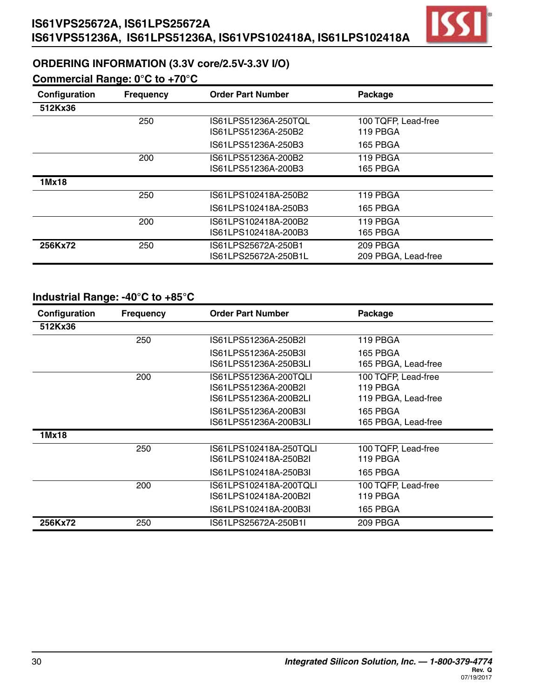

# **ORDERING INFORMATION (3.3V core/2.5V-3.3V I/O)**

# **Commercial Range: 0°C to +70°C**

| Configuration | <b>Frequency</b> | <b>Order Part Number</b> | Package             |
|---------------|------------------|--------------------------|---------------------|
| 512Kx36       |                  |                          |                     |
|               | 250              | IS61LPS51236A-250TQL     | 100 TQFP, Lead-free |
|               |                  | IS61LPS51236A-250B2      | 119 PBGA            |
|               |                  | IS61LPS51236A-250B3      | 165 PBGA            |
|               | 200              | IS61LPS51236A-200B2      | 119 PBGA            |
|               |                  | IS61LPS51236A-200B3      | 165 PBGA            |
| 1Mx18         |                  |                          |                     |
|               | 250              | IS61LPS102418A-250B2     | 119 PBGA            |
|               |                  | IS61LPS102418A-250B3     | 165 PBGA            |
|               | 200              | IS61LPS102418A-200B2     | 119 PBGA            |
|               |                  | IS61LPS102418A-200B3     | 165 PBGA            |
| 256Kx72       | 250              | IS61LPS25672A-250B1      | 209 PBGA            |
|               |                  | IS61LPS25672A-250B1L     | 209 PBGA, Lead-free |

#### **Industrial Range: -40°C to +85°C**

| Configuration | <b>Frequency</b> | <b>Order Part Number</b> | Package             |
|---------------|------------------|--------------------------|---------------------|
| 512Kx36       |                  |                          |                     |
|               | 250              | IS61LPS51236A-250B2I     | 119 PBGA            |
|               |                  | IS61LPS51236A-250B3I     | 165 PBGA            |
|               |                  | IS61LPS51236A-250B3LI    | 165 PBGA, Lead-free |
|               | 200              | IS61LPS51236A-200TQLI    | 100 TQFP, Lead-free |
|               |                  | IS61LPS51236A-200B2I     | 119 PBGA            |
|               |                  | IS61LPS51236A-200B2LI    | 119 PBGA, Lead-free |
|               |                  | IS61LPS51236A-200B3I     | 165 PBGA            |
|               |                  | IS61LPS51236A-200B3LI    | 165 PBGA, Lead-free |
| 1Mx18         |                  |                          |                     |
|               | 250              | IS61LPS102418A-250TQLI   | 100 TQFP, Lead-free |
|               |                  | IS61LPS102418A-250B2I    | 119 PBGA            |
|               |                  | IS61LPS102418A-250B3I    | 165 PBGA            |
|               | 200              | IS61LPS102418A-200TQLI   | 100 TQFP, Lead-free |
|               |                  | IS61LPS102418A-200B2I    | 119 PBGA            |
|               |                  | IS61LPS102418A-200B3I    | 165 PBGA            |
| 256Kx72       | 250              | IS61LPS25672A-250B1I     | 209 PBGA            |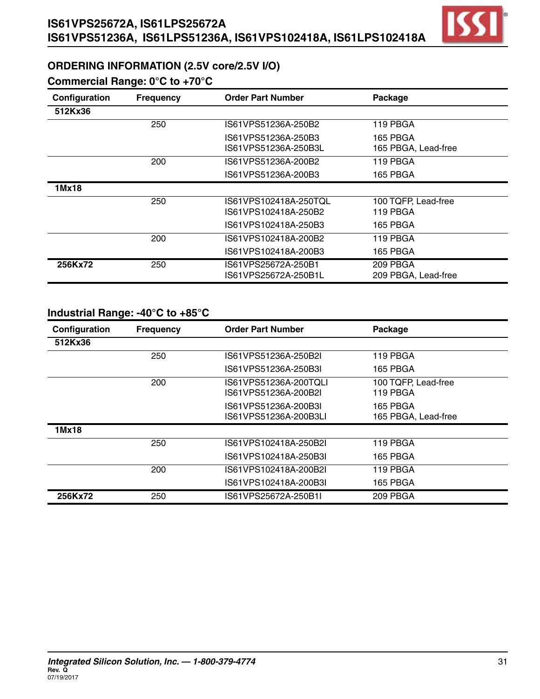

# **ORDERING INFORMATION (2.5V core/2.5V I/O)**

# **Commercial Range: 0°C to +70°C**

| Configuration | <b>Frequency</b> | <b>Order Part Number</b> | Package             |
|---------------|------------------|--------------------------|---------------------|
| 512Kx36       |                  |                          |                     |
|               | 250              | IS61VPS51236A-250B2      | 119 PBGA            |
|               |                  | IS61VPS51236A-250B3      | 165 PBGA            |
|               |                  | IS61VPS51236A-250B3L     | 165 PBGA, Lead-free |
|               | 200              | IS61VPS51236A-200B2      | 119 PBGA            |
|               |                  | IS61VPS51236A-200B3      | 165 PBGA            |
| 1Mx18         |                  |                          |                     |
|               | 250              | IS61VPS102418A-250TQL    | 100 TQFP, Lead-free |
|               |                  | IS61VPS102418A-250B2     | 119 PBGA            |
|               |                  | IS61VPS102418A-250B3     | 165 PBGA            |
|               | 200              | IS61VPS102418A-200B2     | 119 PBGA            |
|               |                  | IS61VPS102418A-200B3     | 165 PBGA            |
| 256Kx72       | 250              | IS61VPS25672A-250B1      | 209 PBGA            |
|               |                  | IS61VPS25672A-250B1L     | 209 PBGA, Lead-free |

# **Industrial Range: -40°C to +85°C**

| Configuration | <b>Frequency</b> | <b>Order Part Number</b>                      | Package                         |
|---------------|------------------|-----------------------------------------------|---------------------------------|
| 512Kx36       |                  |                                               |                                 |
|               | 250              | IS61VPS51236A-250B2I                          | 119 PBGA                        |
|               |                  | IS61VPS51236A-250B3I                          | 165 PBGA                        |
|               | 200              | IS61VPS51236A-200TOLI<br>IS61VPS51236A-200B2I | 100 TQFP, Lead-free<br>119 PBGA |
|               |                  | IS61VPS51236A-200B3I                          | 165 PBGA                        |
|               |                  | IS61VPS51236A-200B3LI                         | 165 PBGA, Lead-free             |
| 1Mx18         |                  |                                               |                                 |
|               | 250              | IS61VPS102418A-250B2L                         | 119 PBGA                        |
|               |                  | IS61VPS102418A-250B3I                         | 165 PBGA                        |
|               | 200              | IS61VPS102418A-200B2I                         | 119 PBGA                        |
|               |                  | IS61VPS102418A-200B3I                         | 165 PBGA                        |
| 256Kx72       | 250              | IS61VPS25672A-250B1I                          | 209 PBGA                        |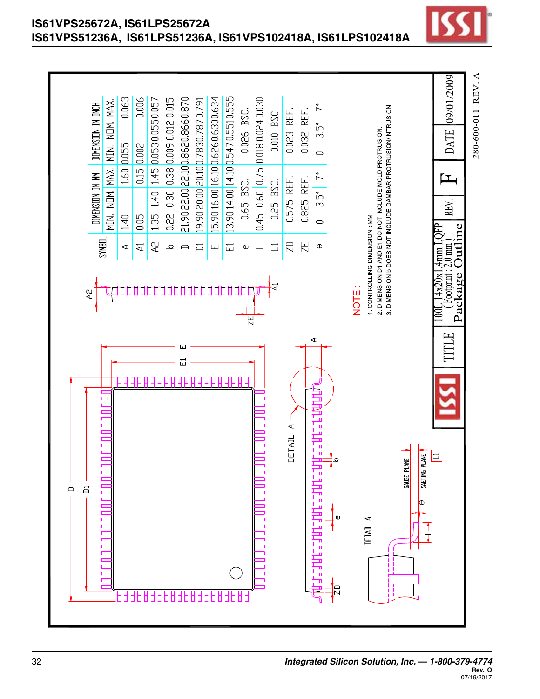

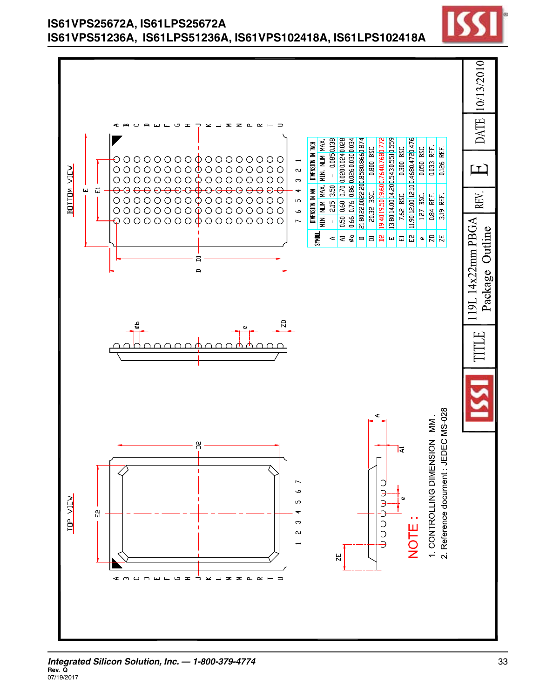

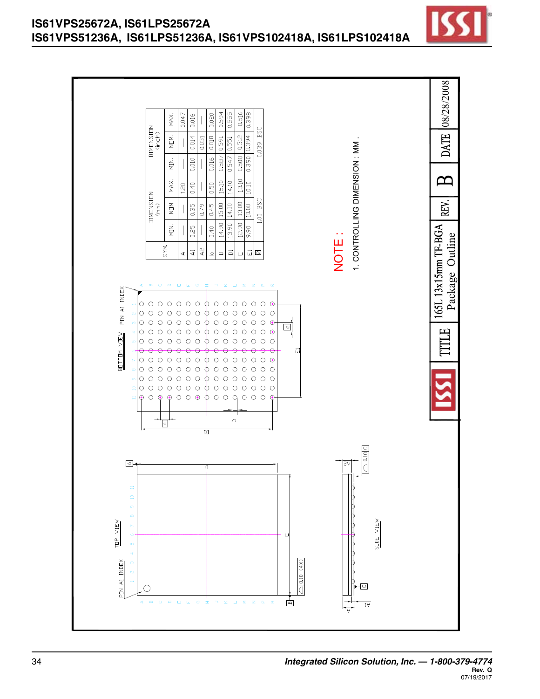